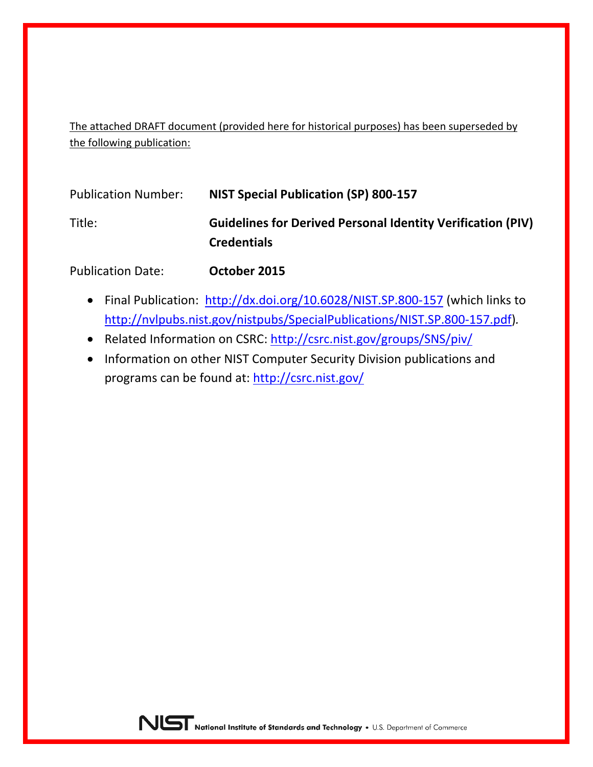The attached DRAFT document (provided here for historical purposes) has been superseded by the following publication:

| <b>Publication Number:</b> | <b>NIST Special Publication (SP) 800-157</b>                                             |
|----------------------------|------------------------------------------------------------------------------------------|
| Title:                     | <b>Guidelines for Derived Personal Identity Verification (PIV)</b><br><b>Credentials</b> |
| <b>Publication Date:</b>   | October 2015                                                                             |

- Final Publication: <http://dx.doi.org/10.6028/NIST.SP.800-157> (which links to [http://nvlpubs.nist.gov/nistpubs/SpecialPublications/NIST.SP.800-157.pdf\)](http://nvlpubs.nist.gov/nistpubs/SpecialPublications/NIST.SP.800-157.pdf)*.*
- Related Information on CSRC:<http://csrc.nist.gov/groups/SNS/piv/>
- Information on other NIST Computer Security Division publications and programs can be found at:<http://csrc.nist.gov/>

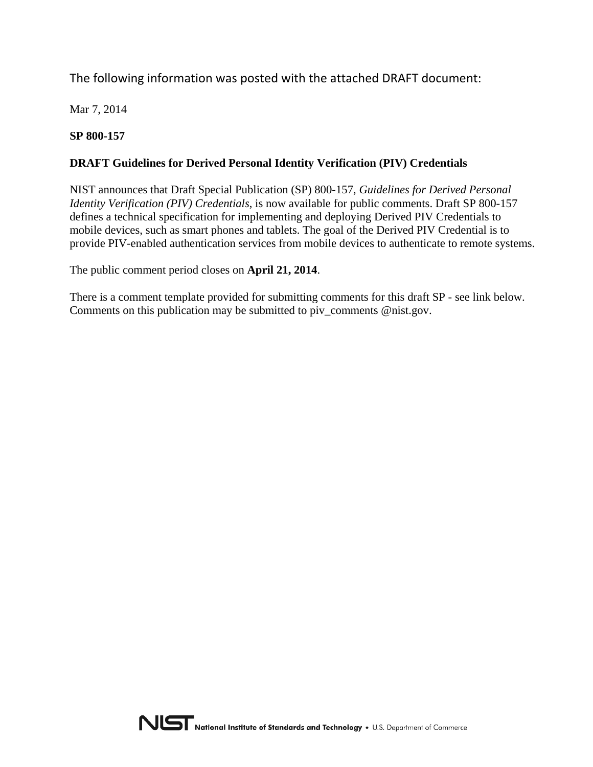# The following information was posted with the attached DRAFT document:

Mar 7, 2014

# **SP 800-157**

# **DRAFT Guidelines for Derived Personal Identity Verification (PIV) Credentials**

NIST announces that Draft Special Publication (SP) 800-157, *Guidelines for Derived Personal Identity Verification (PIV) Credentials*, is now available for public comments. Draft SP 800-157 defines a technical specification for implementing and deploying Derived PIV Credentials to mobile devices, such as smart phones and tablets. The goal of the Derived PIV Credential is to provide PIV-enabled authentication services from mobile devices to authenticate to remote systems.

The public comment period closes on **April 21, 2014**.

There is a comment template provided for submitting comments for this draft SP - see link below. Comments on this publication may be submitted to piv comments @nist.gov.

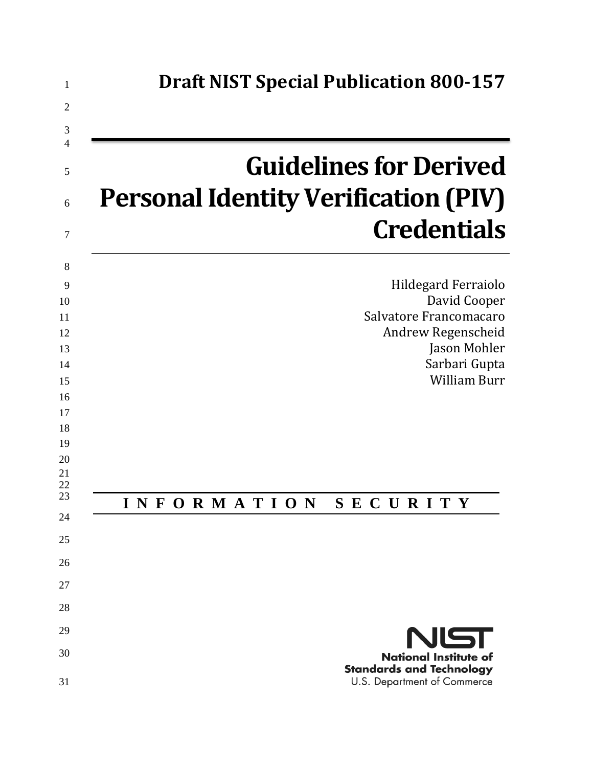| <b>Guidelines for Derived</b>               |
|---------------------------------------------|
| <b>Personal Identity Verification (PIV)</b> |
| <b>Credentials</b>                          |
| Hildegard Ferraiolo                         |
| David Cooper<br>Salvatore Francomacaro      |
| Andrew Regenscheid                          |
| Jason Mohler<br>Sarbari Gupta               |
| <b>William Burr</b>                         |
|                                             |
|                                             |
|                                             |
| INFORMATION<br>SECURITY                     |
|                                             |
|                                             |
|                                             |
|                                             |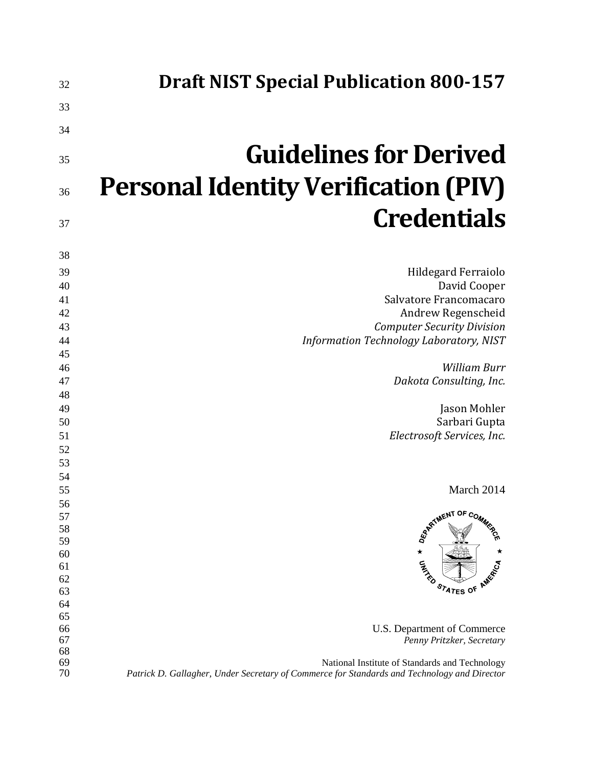| 32       | <b>Draft NIST Special Publication 800-157</b>                                               |
|----------|---------------------------------------------------------------------------------------------|
| 33       |                                                                                             |
| 34       |                                                                                             |
| 35       | <b>Guidelines for Derived</b>                                                               |
| 36       | <b>Personal Identity Verification (PIV)</b>                                                 |
| 37       | <b>Credentials</b>                                                                          |
| 38       |                                                                                             |
| 39       | Hildegard Ferraiolo                                                                         |
| 40       | David Cooper                                                                                |
| 41       | Salvatore Francomacaro                                                                      |
| 42       | Andrew Regenscheid                                                                          |
| 43       | <b>Computer Security Division</b>                                                           |
| 44       | Information Technology Laboratory, NIST                                                     |
| 45       | <b>William Burr</b>                                                                         |
| 46<br>47 | Dakota Consulting, Inc.                                                                     |
| 48       |                                                                                             |
| 49       | Jason Mohler                                                                                |
| 50       | Sarbari Gupta                                                                               |
| 51       | Electrosoft Services, Inc.                                                                  |
| 52       |                                                                                             |
| 53       |                                                                                             |
| 54       |                                                                                             |
| 55       | March 2014                                                                                  |
| 56       | ARTIMENT OF COMM                                                                            |
| 57       |                                                                                             |
| 58       |                                                                                             |
| 59<br>60 | $\star$                                                                                     |
| 61       | <b>CALLED</b>                                                                               |
| 62       |                                                                                             |
| 63       | STATES OF AMERICA                                                                           |
| 64       |                                                                                             |
| 65       |                                                                                             |
| 66       | U.S. Department of Commerce                                                                 |
| 67<br>68 | Penny Pritzker, Secretary                                                                   |
| 69       | National Institute of Standards and Technology                                              |
| 70       | Patrick D. Gallagher, Under Secretary of Commerce for Standards and Technology and Director |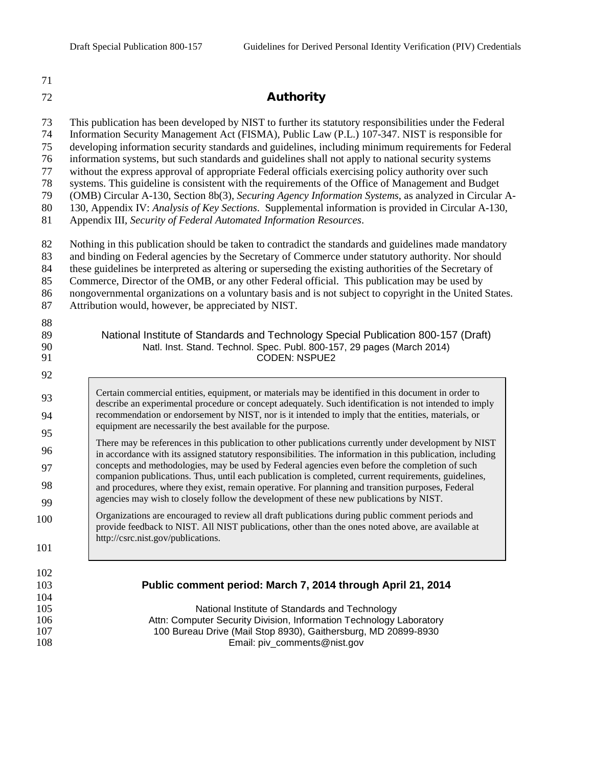71

#### 72 Authority

73 This publication has been developed by NIST to further its statutory responsibilities under the Federal

74 Information Security Management Act (FISMA), Public Law (P.L.) 107-347. NIST is responsible for

75 developing information security standards and guidelines, including minimum requirements for Federal

76 information systems, but such standards and guidelines shall not apply to national security systems 77 without the express approval of appropriate Federal officials exercising policy authority over such

78 systems. This guideline is consistent with the requirements of the Office of Management and Budget

79 (OMB) Circular A-130, Section 8b(3), *Securing Agency Information Systems*, as analyzed in Circular A-

80 130, Appendix IV: *Analysis of Key Sections*. Supplemental information is provided in Circular A-130,

81 Appendix III, *Security of Federal Automated Information Resources*.

82 Nothing in this publication should be taken to contradict the standards and guidelines made mandatory

83 and binding on Federal agencies by the Secretary of Commerce under statutory authority. Nor should

84 these guidelines be interpreted as altering or superseding the existing authorities of the Secretary of

85 Commerce, Director of the OMB, or any other Federal official. This publication may be used by

86 nongovernmental organizations on a voluntary basis and is not subject to copyright in the United States. 87 Attribution would, however, be appreciated by NIST.

88 89 National Institute of Standards and Technology Special Publication 800-157 (Draft)<br>90 Natl. Inst. Stand. Technol. Spec. Publ. 800-157, 29 pages (March 2014) 90 Natl. Inst. Stand. Technol. Spec. Publ. 800-157, 29 pages (March 2014)<br>CODEN: NSPUE2 CODEN: NSPUE2 92 93 94 95 96 97 98 99 100 Certain commercial entities, equipment, or materials may be identified in this document in order to describe an experimental procedure or concept adequately. Such identification is not intended to imply recommendation or endorsement by NIST, nor is it intended to imply that the entities, materials, or equipment are necessarily the best available for the purpose. There may be references in this publication to other publications currently under development by NIST in accordance with its assigned statutory responsibilities. The information in this publication, including concepts and methodologies, may be used by Federal agencies even before the completion of such companion publications. Thus, until each publication is completed, current requirements, guidelines, and procedures, where they exist, remain operative. For planning and transition purposes, Federal agencies may wish to closely follow the development of these new publications by NIST. Organizations are encouraged to review all draft publications during public comment periods and

provide feedback to NIST. All NIST publications, other than the ones noted above, are available at http://csrc.nist.gov/publications.

101 102

 $\frac{104}{105}$ 

103 **Public comment period: March 7, 2014 through April 21, 2014**

National Institute of Standards and Technology 106 Attn: Computer Security Division, Information Technology Laboratory 107 100 Bureau Drive (Mail Stop 8930), Gaithersburg, MD 20899-8930<br>108 108 Email: piv comments@nist.gov Email: piv\_comments@nist.gov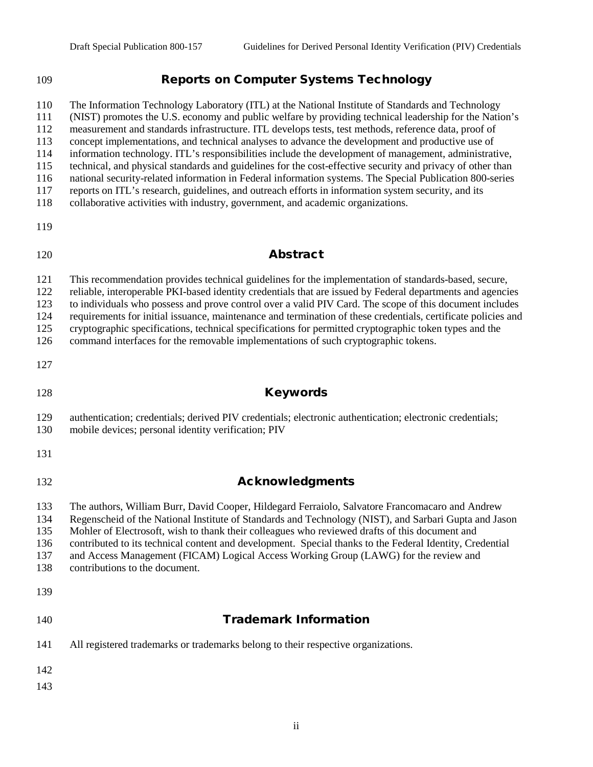## Reports on Computer Systems Technology

 The Information Technology Laboratory (ITL) at the National Institute of Standards and Technology (NIST) promotes the U.S. economy and public welfare by providing technical leadership for the Nation's measurement and standards infrastructure. ITL develops tests, test methods, reference data, proof of concept implementations, and technical analyses to advance the development and productive use of information technology. ITL's responsibilities include the development of management, administrative, technical, and physical standards and guidelines for the cost-effective security and privacy of other than national security-related information in Federal information systems. The Special Publication 800-series reports on ITL's research, guidelines, and outreach efforts in information system security, and its collaborative activities with industry, government, and academic organizations. Abstract This recommendation provides technical guidelines for the implementation of standards-based, secure, reliable, interoperable PKI-based identity credentials that are issued by Federal departments and agencies 123 to individuals who possess and prove control over a valid PIV Card. The scope of this document includes<br>124 equirements for initial issuance, maintenance and termination of these credentials, certificate policies and requirements for initial issuance, maintenance and termination of these credentials, certificate policies and

cryptographic specifications, technical specifications for permitted cryptographic token types and the

command interfaces for the removable implementations of such cryptographic tokens.

#### 128 Keywords

 authentication; credentials; derived PIV credentials; electronic authentication; electronic credentials; mobile devices; personal identity verification; PIV

- 
- 

### **Acknowledgments**

 The authors, William Burr, David Cooper, Hildegard Ferraiolo, Salvatore Francomacaro and Andrew Regenscheid of the National Institute of Standards and Technology (NIST), and Sarbari Gupta and Jason Mohler of Electrosoft, wish to thank their colleagues who reviewed drafts of this document and contributed to its technical content and development. Special thanks to the Federal Identity, Credential and Access Management (FICAM) Logical Access Working Group (LAWG) for the review and

contributions to the document.

## Trademark Information

- All registered trademarks or trademarks belong to their respective organizations.
- 
-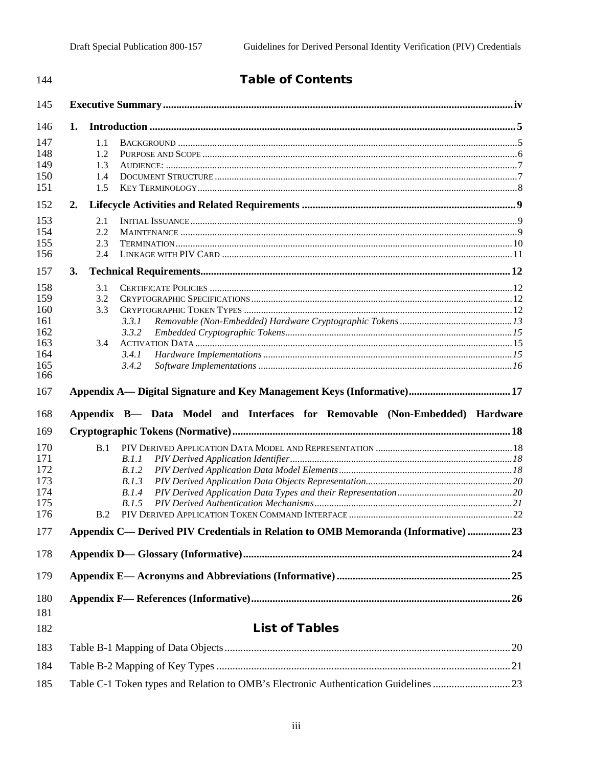| 144                                                         | <b>Table of Contents</b>                                                          |  |  |  |
|-------------------------------------------------------------|-----------------------------------------------------------------------------------|--|--|--|
| 145                                                         |                                                                                   |  |  |  |
| 146                                                         | 1.                                                                                |  |  |  |
| 147<br>148<br>149<br>150<br>151                             | 1.1<br>1.2<br>1.3<br>1.4<br>1.5                                                   |  |  |  |
| 152                                                         | 2.                                                                                |  |  |  |
| 153<br>154<br>155<br>156                                    | 2.1<br>2.2<br>2.3<br>2.4                                                          |  |  |  |
| 157                                                         | 3.                                                                                |  |  |  |
| 158<br>159<br>160<br>161<br>162<br>163<br>164<br>165<br>166 | 3.1<br>3.2<br>3.3<br>3.3.1<br>3.3.2<br>3.4<br>3.4.1<br>3.4.2                      |  |  |  |
| 167                                                         |                                                                                   |  |  |  |
| 168                                                         | Appendix B— Data Model and Interfaces for Removable (Non-Embedded) Hardware       |  |  |  |
| 169                                                         |                                                                                   |  |  |  |
| 170<br>171<br>172<br>173<br>174<br>175<br>176               | B.1<br>B.1.1<br>B.1.2<br>B.1.3<br>B.1.4<br>B.1.5<br>B.2                           |  |  |  |
| 177                                                         | Appendix C— Derived PIV Credentials in Relation to OMB Memoranda (Informative) 23 |  |  |  |
| 178                                                         |                                                                                   |  |  |  |
| 179                                                         |                                                                                   |  |  |  |
| 180<br>181<br>182                                           | <b>List of Tables</b>                                                             |  |  |  |
| 183                                                         |                                                                                   |  |  |  |
| 184                                                         |                                                                                   |  |  |  |

185 Table C-1 Token types and Relation to OMB's Electronic Authentication Guidelines .............................23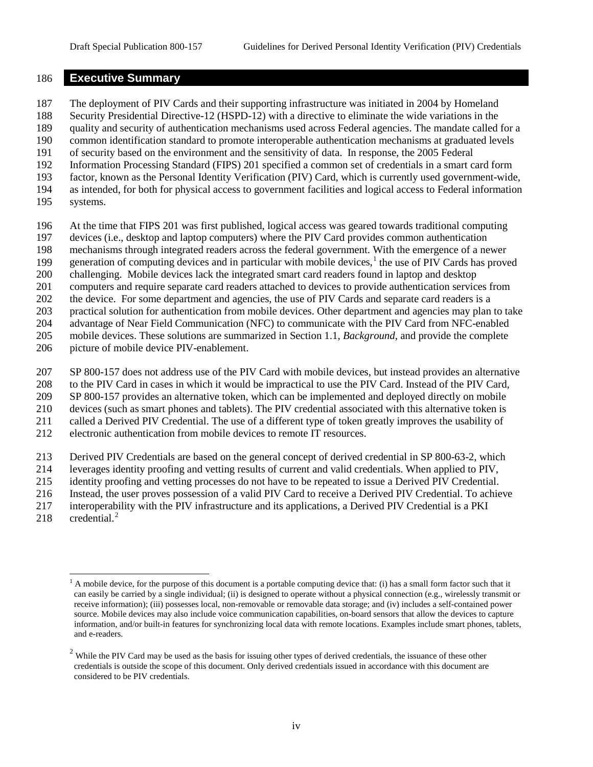#### **Executive Summary**

 The deployment of PIV Cards and their supporting infrastructure was initiated in 2004 by Homeland Security Presidential Directive-12 (HSPD-12) with a directive to eliminate the wide variations in the quality and security of authentication mechanisms used across Federal agencies. The mandate called for a common identification standard to promote interoperable authentication mechanisms at graduated levels of security based on the environment and the sensitivity of data. In response, the 2005 Federal Information Processing Standard (FIPS) 201 specified a common set of credentials in a smart card form factor, known as the Personal Identity Verification (PIV) Card, which is currently used government-wide, as intended, for both for physical access to government facilities and logical access to Federal information

- systems.
- At the time that FIPS 201 was first published, logical access was geared towards traditional computing
- devices (i.e., desktop and laptop computers) where the PIV Card provides common authentication
- mechanisms through integrated readers across the federal government. With the emergence of a newer
- 99 generation of computing devices and in particular with mobile devices,<sup>1</sup> the use of PIV Cards has proved
- challenging. Mobile devices lack the integrated smart card readers found in laptop and desktop
- computers and require separate card readers attached to devices to provide authentication services from
- the device. For some department and agencies, the use of PIV Cards and separate card readers is a
- practical solution for authentication from mobile devices. Other department and agencies may plan to take
- advantage of Near Field Communication (NFC) to communicate with the PIV Card from NFC-enabled mobile devices. These solutions are summarized in Section 1.1, *Background*, and provide the complete
- picture of mobile device PIV-enablement.
- SP 800-157 does not address use of the PIV Card with mobile devices, but instead provides an alternative
- to the PIV Card in cases in which it would be impractical to use the PIV Card. Instead of the PIV Card,
- SP 800-157 provides an alternative token, which can be implemented and deployed directly on mobile
- devices (such as smart phones and tablets). The PIV credential associated with this alternative token is
- called a Derived PIV Credential. The use of a different type of token greatly improves the usability of
- electronic authentication from mobile devices to remote IT resources.
- Derived PIV Credentials are based on the general concept of derived credential in SP 800-63-2, which
- leverages identity proofing and vetting results of current and valid credentials. When applied to PIV,
- identity proofing and vetting processes do not have to be repeated to issue a Derived PIV Credential.
- Instead, the user proves possession of a valid PIV Card to receive a Derived PIV Credential. To achieve
- interoperability with the PIV infrastructure and its applications, a Derived PIV Credential is a PKI
- [2](#page-7-1)18  $\qquad$  credential.<sup>2</sup>

<span id="page-7-0"></span> $<sup>1</sup>$  A mobile device, for the purpose of this document is a portable computing device that: (i) has a small form factor such that it</sup> can easily be carried by a single individual; (ii) is designed to operate without a physical connection (e.g., wirelessly transmit or receive information); (iii) possesses local, non-removable or removable data storage; and (iv) includes a self-contained power source. Mobile devices may also include voice communication capabilities, on-board sensors that allow the devices to capture information, and/or built-in features for synchronizing local data with remote locations. Examples include smart phones, tablets, and e-readers.

<span id="page-7-1"></span> While the PIV Card may be used as the basis for issuing other types of derived credentials, the issuance of these other credentials is outside the scope of this document. Only derived credentials issued in accordance with this document are considered to be PIV credentials.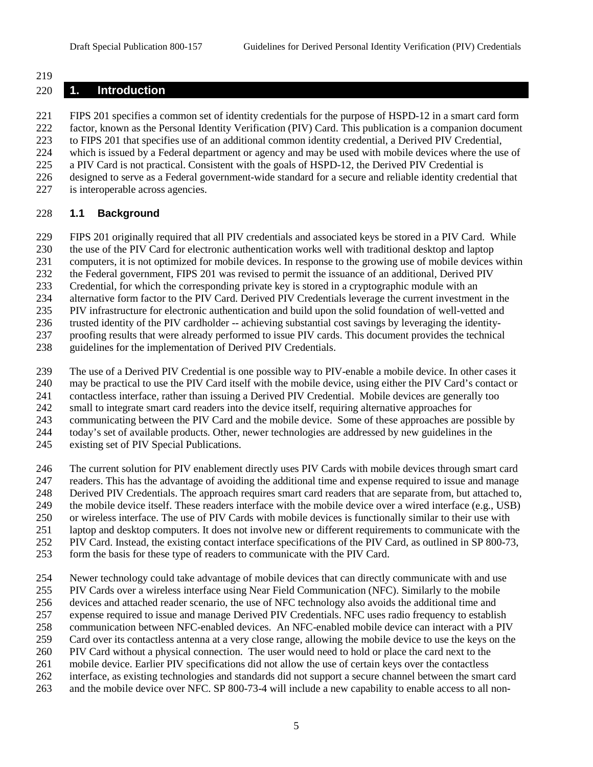#### 

#### **1. Introduction**

 FIPS 201 specifies a common set of identity credentials for the purpose of HSPD-12 in a smart card form factor, known as the Personal Identity Verification (PIV) Card. This publication is a companion document to FIPS 201 that specifies use of an additional common identity credential, a Derived PIV Credential, which is issued by a Federal department or agency and may be used with mobile devices where the use of a PIV Card is not practical. Consistent with the goals of HSPD-12, the Derived PIV Credential is designed to serve as a Federal government-wide standard for a secure and reliable identity credential that is interoperable across agencies.

## **1.1 Background**

FIPS 201 originally required that all PIV credentials and associated keys be stored in a PIV Card. While

the use of the PIV Card for electronic authentication works well with traditional desktop and laptop

computers, it is not optimized for mobile devices. In response to the growing use of mobile devices within

the Federal government, FIPS 201 was revised to permit the issuance of an additional, Derived PIV

Credential, for which the corresponding private key is stored in a cryptographic module with an

alternative form factor to the PIV Card. Derived PIV Credentials leverage the current investment in the

PIV infrastructure for electronic authentication and build upon the solid foundation of well-vetted and

trusted identity of the PIV cardholder -- achieving substantial cost savings by leveraging the identity-

proofing results that were already performed to issue PIV cards. This document provides the technical

guidelines for the implementation of Derived PIV Credentials.

The use of a Derived PIV Credential is one possible way to PIV-enable a mobile device. In other cases it

may be practical to use the PIV Card itself with the mobile device, using either the PIV Card's contact or

contactless interface, rather than issuing a Derived PIV Credential. Mobile devices are generally too

small to integrate smart card readers into the device itself, requiring alternative approaches for

communicating between the PIV Card and the mobile device. Some of these approaches are possible by

today's set of available products. Other, newer technologies are addressed by new guidelines in the

existing set of PIV Special Publications.

246 The current solution for PIV enablement directly uses PIV Cards with mobile devices through smart card

readers. This has the advantage of avoiding the additional time and expense required to issue and manage

Derived PIV Credentials. The approach requires smart card readers that are separate from, but attached to,

249 the mobile device itself. These readers interface with the mobile device over a wired interface (e.g., USB) or wireless interface. The use of PIV Cards with mobile devices is functionally similar to their use with

or wireless interface. The use of PIV Cards with mobile devices is functionally similar to their use with

laptop and desktop computers. It does not involve new or different requirements to communicate with the

PIV Card. Instead, the existing contact interface specifications of the PIV Card, as outlined in SP 800-73,

form the basis for these type of readers to communicate with the PIV Card.

Newer technology could take advantage of mobile devices that can directly communicate with and use

PIV Cards over a wireless interface using Near Field Communication (NFC). Similarly to the mobile

devices and attached reader scenario, the use of NFC technology also avoids the additional time and

expense required to issue and manage Derived PIV Credentials. NFC uses radio frequency to establish

communication between NFC-enabled devices. An NFC-enabled mobile device can interact with a PIV

Card over its contactless antenna at a very close range, allowing the mobile device to use the keys on the

PIV Card without a physical connection. The user would need to hold or place the card next to the

mobile device. Earlier PIV specifications did not allow the use of certain keys over the contactless

interface, as existing technologies and standards did not support a secure channel between the smart card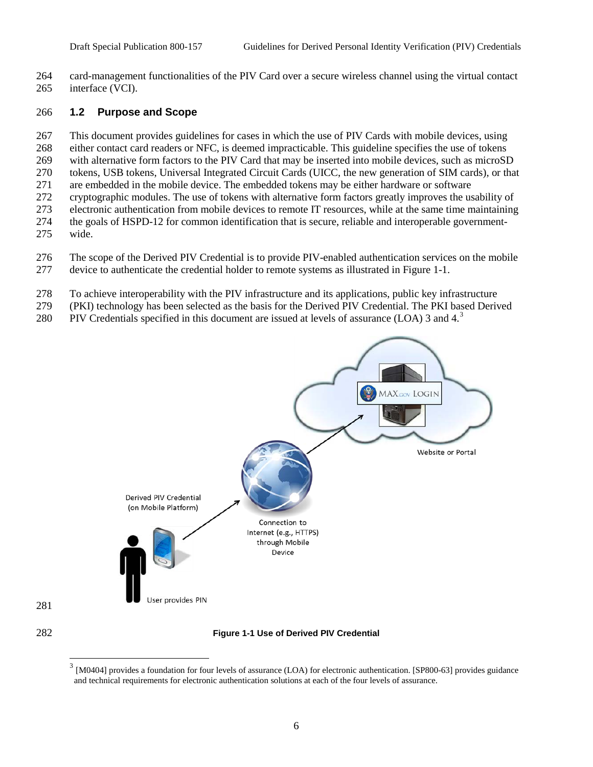card-management functionalities of the PIV Card over a secure wireless channel using the virtual contact interface (VCI).

#### **1.2 Purpose and Scope**

<span id="page-9-1"></span><span id="page-9-0"></span>

 This document provides guidelines for cases in which the use of PIV Cards with mobile devices, using either contact card readers or NFC, is deemed impracticable. This guideline specifies the use of tokens with alternative form factors to the PIV Card that may be inserted into mobile devices, such as microSD tokens, USB tokens, Universal Integrated Circuit Cards (UICC, the new generation of SIM cards), or that are embedded in the mobile device. The embedded tokens may be either hardware or software cryptographic modules. The use of tokens with alternative form factors greatly improves the usability of electronic authentication from mobile devices to remote IT resources, while at the same time maintaining the goals of HSPD-12 for common identification that is secure, reliable and interoperable government-wide.

- The scope of the Derived PIV Credential is to provide PIV-enabled authentication services on the mobile device to authenticate the credential holder to remote systems as illustrated in [Figure 1-1.](#page-9-0)
- To achieve interoperability with the PIV infrastructure and its applications, public key infrastructure
- (PKI) technology has been selected as the basis for the Derived PIV Credential. The PKI based Derived
- 280 PIV Credentials specified in this document are issued at levels of assurance (LOA) [3](#page-9-1) and  $4<sup>3</sup>$



<sup>[</sup>M0404] provides a foundation for four levels of assurance (LOA) for electronic authentication. [SP800-63] provides guidance and technical requirements for electronic authentication solutions at each of the four levels of assurance.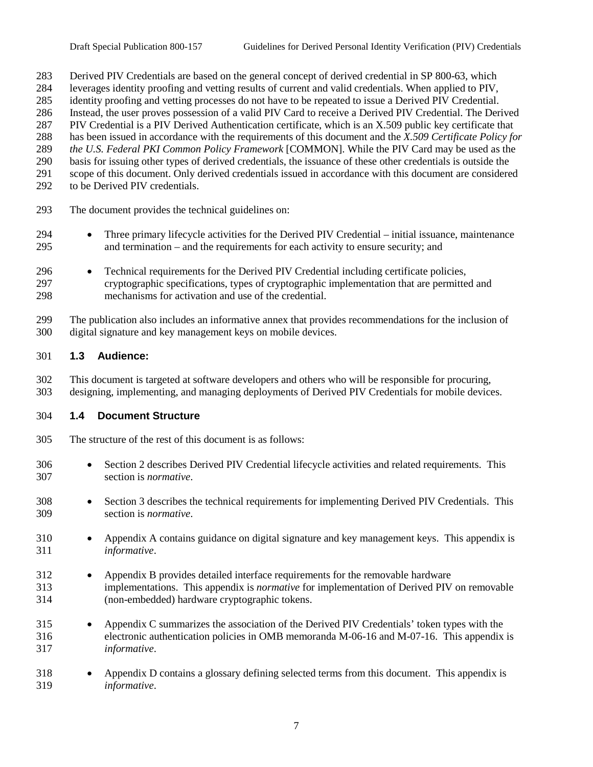Derived PIV Credentials are based on the general concept of derived credential in SP 800-63, which

- leverages identity proofing and vetting results of current and valid credentials. When applied to PIV,
- identity proofing and vetting processes do not have to be repeated to issue a Derived PIV Credential. Instead, the user proves possession of a valid PIV Card to receive a Derived PIV Credential. The Derived

PIV Credential is a PIV Derived Authentication certificate, which is an X.509 public key certificate that

has been issued in accordance with the requirements of this document and the *X.509 Certificate Policy for* 

*the U.S. Federal PKI Common Policy Framework* [COMMON]. While the PIV Card may be used as the

- basis for issuing other types of derived credentials, the issuance of these other credentials is outside the
- scope of this document. Only derived credentials issued in accordance with this document are considered
- to be Derived PIV credentials.
- The document provides the technical guidelines on:
- Three primary lifecycle activities for the Derived PIV Credential initial issuance, maintenance and termination – and the requirements for each activity to ensure security; and
- Technical requirements for the Derived PIV Credential including certificate policies, cryptographic specifications, types of cryptographic implementation that are permitted and mechanisms for activation and use of the credential.

 The publication also includes an informative annex that provides recommendations for the inclusion of digital signature and key management keys on mobile devices.

### **1.3 Audience:**

 This document is targeted at software developers and others who will be responsible for procuring, designing, implementing, and managing deployments of Derived PIV Credentials for mobile devices.

### **1.4 Document Structure**

- The structure of the rest of this document is as follows:
- Section 2 describes Derived PIV Credential lifecycle activities and related requirements. This section is *normative*.
- Section 3 describes the technical requirements for implementing Derived PIV Credentials. This section is *normative*.
- Appendix A contains guidance on digital signature and key management keys. This appendix is *informative*.
- Appendix B provides detailed interface requirements for the removable hardware implementations. This appendix is *normative* for implementation of Derived PIV on removable (non-embedded) hardware cryptographic tokens.
- Appendix C summarizes the association of the Derived PIV Credentials' token types with the electronic authentication policies in OMB memoranda M-06-16 and M-07-16. This appendix is *informative*.
- Appendix D contains a glossary defining selected terms from this document. This appendix is *informative*.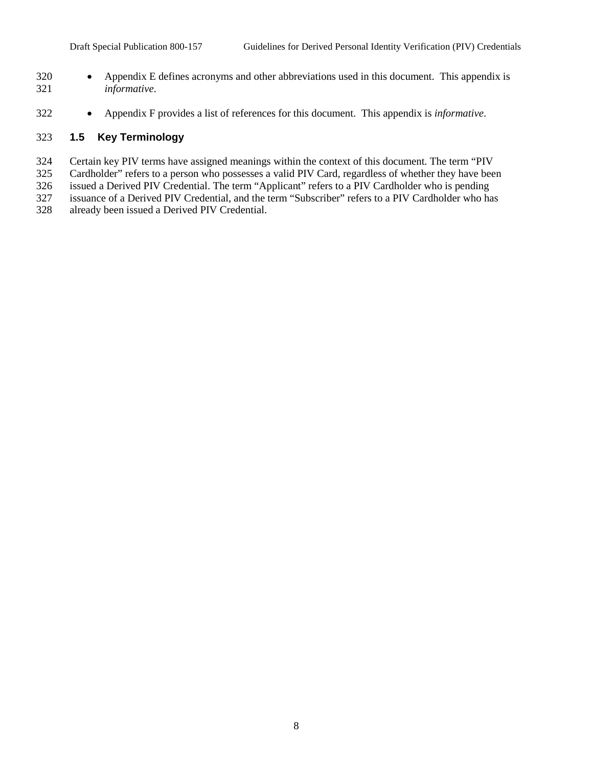- Appendix E defines acronyms and other abbreviations used in this document. This appendix is *informative*.
- Appendix F provides a list of references for this document. This appendix is *informative*.

### **1.5 Key Terminology**

- Certain key PIV terms have assigned meanings within the context of this document. The term "PIV
- Cardholder" refers to a person who possesses a valid PIV Card, regardless of whether they have been
- issued a Derived PIV Credential. The term "Applicant" refers to a PIV Cardholder who is pending
- issuance of a Derived PIV Credential, and the term "Subscriber" refers to a PIV Cardholder who has
- already been issued a Derived PIV Credential.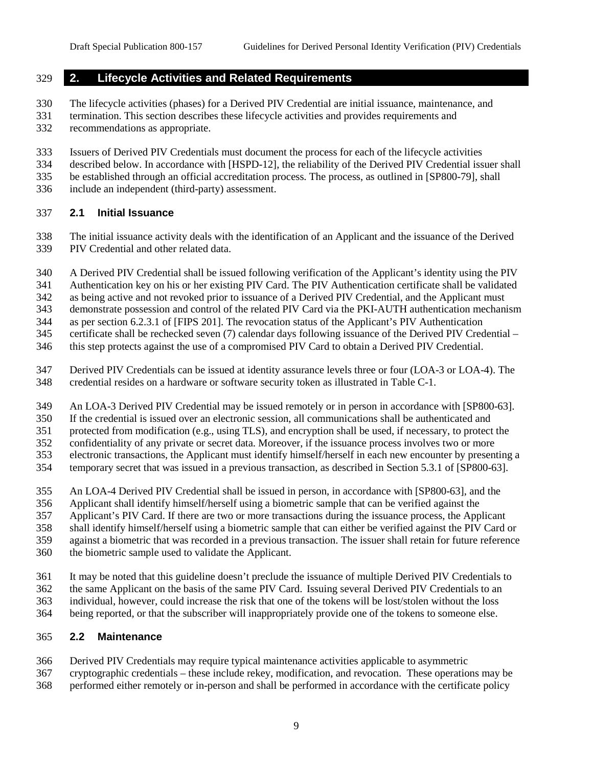## **2. Lifecycle Activities and Related Requirements**

The lifecycle activities (phases) for a Derived PIV Credential are initial issuance, maintenance, and

- termination. This section describes these lifecycle activities and provides requirements and
- recommendations as appropriate.
- Issuers of Derived PIV Credentials must document the process for each of the lifecycle activities
- described below. In accordance with [HSPD-12], the reliability of the Derived PIV Credential issuer shall
- be established through an official accreditation process. The process, as outlined in [SP800-79], shall
- include an independent (third-party) assessment.

## **2.1 Initial Issuance**

 The initial issuance activity deals with the identification of an Applicant and the issuance of the Derived PIV Credential and other related data.

- A Derived PIV Credential shall be issued following verification of the Applicant's identity using the PIV
- Authentication key on his or her existing PIV Card. The PIV Authentication certificate shall be validated
- as being active and not revoked prior to issuance of a Derived PIV Credential, and the Applicant must
- demonstrate possession and control of the related PIV Card via the PKI-AUTH authentication mechanism
- as per section 6.2.3.1 of [FIPS 201]. The revocation status of the Applicant's PIV Authentication
- certificate shall be rechecked seven (7) calendar days following issuance of the Derived PIV Credential –
- this step protects against the use of a compromised PIV Card to obtain a Derived PIV Credential.
- Derived PIV Credentials can be issued at identity assurance levels three or four (LOA-3 or LOA-4). The credential resides on a hardware or software security token as illustrated in Table C-1.
- An LOA-3 Derived PIV Credential may be issued remotely or in person in accordance with [SP800-63].
- If the credential is issued over an electronic session, all communications shall be authenticated and
- protected from modification (e.g., using TLS), and encryption shall be used, if necessary, to protect the
- confidentiality of any private or secret data. Moreover, if the issuance process involves two or more
- electronic transactions, the Applicant must identify himself/herself in each new encounter by presenting a
- temporary secret that was issued in a previous transaction, as described in Section 5.3.1 of [SP800-63].
- An LOA-4 Derived PIV Credential shall be issued in person, in accordance with [SP800-63], and the
- Applicant shall identify himself/herself using a biometric sample that can be verified against the
- Applicant's PIV Card. If there are two or more transactions during the issuance process, the Applicant
- shall identify himself/herself using a biometric sample that can either be verified against the PIV Card or
- against a biometric that was recorded in a previous transaction. The issuer shall retain for future reference
- the biometric sample used to validate the Applicant.
- It may be noted that this guideline doesn't preclude the issuance of multiple Derived PIV Credentials to
- the same Applicant on the basis of the same PIV Card. Issuing several Derived PIV Credentials to an individual, however, could increase the risk that one of the tokens will be lost/stolen without the loss
- being reported, or that the subscriber will inappropriately provide one of the tokens to someone else.

## **2.2 Maintenance**

- Derived PIV Credentials may require typical maintenance activities applicable to asymmetric
- cryptographic credentials these include rekey, modification, and revocation. These operations may be
- performed either remotely or in-person and shall be performed in accordance with the certificate policy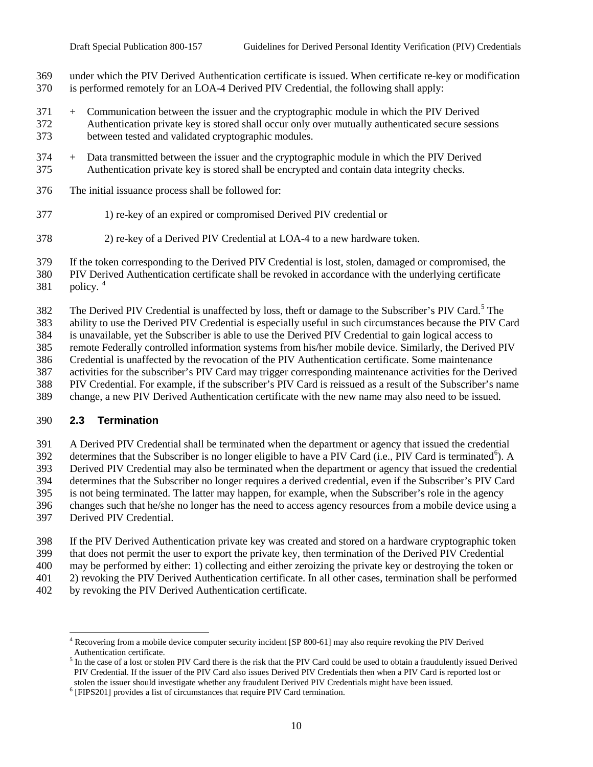under which the PIV Derived Authentication certificate is issued. When certificate re-key or modification is performed remotely for an LOA-4 Derived PIV Credential, the following shall apply:

- + Communication between the issuer and the cryptographic module in which the PIV Derived Authentication private key is stored shall occur only over mutually authenticated secure sessions between tested and validated cryptographic modules.
- + Data transmitted between the issuer and the cryptographic module in which the PIV Derived Authentication private key is stored shall be encrypted and contain data integrity checks.
- The initial issuance process shall be followed for:
- 1) re-key of an expired or compromised Derived PIV credential or
- 2) re-key of a Derived PIV Credential at LOA-4 to a new hardware token.
- If the token corresponding to the Derived PIV Credential is lost, stolen, damaged or compromised, the

 PIV Derived Authentication certificate shall be revoked in accordance with the underlying certificate 381 policy.  $4 \times 10^{-4}$ 

The Derived PIV Credential is unaffected by loss, theft or damage to the Subscriber's PIV Card.<sup>[5](#page-13-1)</sup> The

ability to use the Derived PIV Credential is especially useful in such circumstances because the PIV Card

is unavailable, yet the Subscriber is able to use the Derived PIV Credential to gain logical access to

remote Federally controlled information systems from his/her mobile device. Similarly, the Derived PIV

Credential is unaffected by the revocation of the PIV Authentication certificate. Some maintenance

activities for the subscriber's PIV Card may trigger corresponding maintenance activities for the Derived

- PIV Credential. For example, if the subscriber's PIV Card is reissued as a result of the Subscriber's name
- change, a new PIV Derived Authentication certificate with the new name may also need to be issued.

### **2.3 Termination**

A Derived PIV Credential shall be terminated when the department or agency that issued the credential

determines that the Subscriber is no longer eligible to have a PIV Card (i.e., PIV Card is terminated<sup>[6](#page-13-2)</sup>). A

Derived PIV Credential may also be terminated when the department or agency that issued the credential

determines that the Subscriber no longer requires a derived credential, even if the Subscriber's PIV Card

is not being terminated. The latter may happen, for example, when the Subscriber's role in the agency

changes such that he/she no longer has the need to access agency resources from a mobile device using a

Derived PIV Credential.

If the PIV Derived Authentication private key was created and stored on a hardware cryptographic token

that does not permit the user to export the private key, then termination of the Derived PIV Credential

may be performed by either: 1) collecting and either zeroizing the private key or destroying the token or

2) revoking the PIV Derived Authentication certificate. In all other cases, termination shall be performed

<span id="page-13-0"></span>by revoking the PIV Derived Authentication certificate.

<sup>&</sup>lt;sup>4</sup> Recovering from a mobile device computer security incident [SP 800-61] may also require revoking the PIV Derived Authentication certificate.

<span id="page-13-1"></span><sup>&</sup>lt;sup>5</sup> In the case of a lost or stolen PIV Card there is the risk that the PIV Card could be used to obtain a fraudulently issued Derived PIV Credential. If the issuer of the PIV Card also issues Derived PIV Credentials then when a PIV Card is reported lost or stolen the issuer should investigate whether any fraudulent Derived PIV Credentials might have been issued.

<span id="page-13-2"></span>[FIPS201] provides a list of circumstances that require PIV Card termination.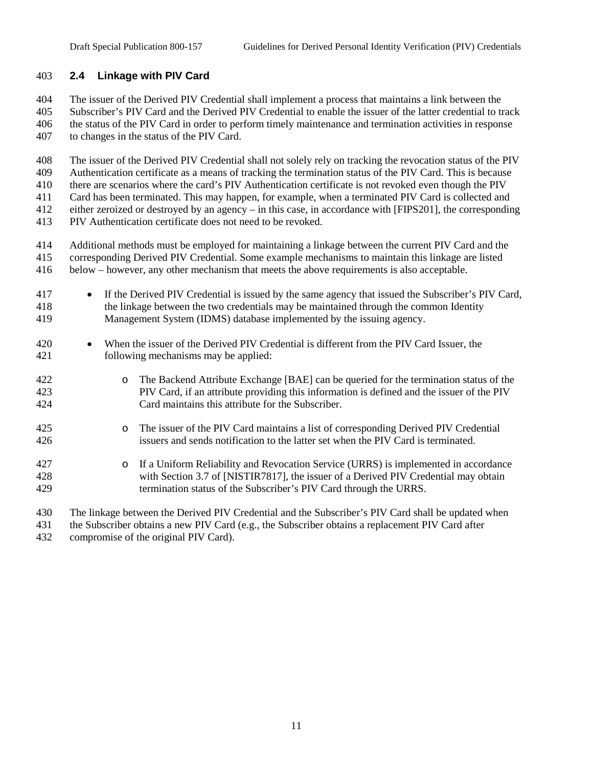#### **2.4 Linkage with PIV Card**

 The issuer of the Derived PIV Credential shall implement a process that maintains a link between the Subscriber's PIV Card and the Derived PIV Credential to enable the issuer of the latter credential to track the status of the PIV Card in order to perform timely maintenance and termination activities in response to changes in the status of the PIV Card.

The issuer of the Derived PIV Credential shall not solely rely on tracking the revocation status of the PIV

Authentication certificate as a means of tracking the termination status of the PIV Card. This is because

 there are scenarios where the card's PIV Authentication certificate is not revoked even though the PIV Card has been terminated. This may happen, for example, when a terminated PIV Card is collected and

either zeroized or destroyed by an agency – in this case, in accordance with [FIPS201], the corresponding

PIV Authentication certificate does not need to be revoked.

 Additional methods must be employed for maintaining a linkage between the current PIV Card and the corresponding Derived PIV Credential. Some example mechanisms to maintain this linkage are listed below – however, any other mechanism that meets the above requirements is also acceptable.

- If the Derived PIV Credential is issued by the same agency that issued the Subscriber's PIV Card, the linkage between the two credentials may be maintained through the common Identity Management System (IDMS) database implemented by the issuing agency.
- When the issuer of the Derived PIV Credential is different from the PIV Card Issuer, the following mechanisms may be applied:
- 422 o The Backend Attribute Exchange [BAE] can be queried for the termination status of the 423 PIV Card, if an attribute providing this information is defined and the issuer of the PIV PIV Card, if an attribute providing this information is defined and the issuer of the PIV Card maintains this attribute for the Subscriber.
- 425 o The issuer of the PIV Card maintains a list of corresponding Derived PIV Credential<br>426 sisuers and sends notification to the latter set when the PIV Card is terminated. issuers and sends notification to the latter set when the PIV Card is terminated.
- 427 **o** If a Uniform Reliability and Revocation Service (URRS) is implemented in accordance<br>428 with Section 3.7 of INISTIR78171, the issuer of a Derived PIV Credential may obtain with Section 3.7 of [NISTIR7817], the issuer of a Derived PIV Credential may obtain termination status of the Subscriber's PIV Card through the URRS.
- The linkage between the Derived PIV Credential and the Subscriber's PIV Card shall be updated when
- the Subscriber obtains a new PIV Card (e.g., the Subscriber obtains a replacement PIV Card after
- compromise of the original PIV Card).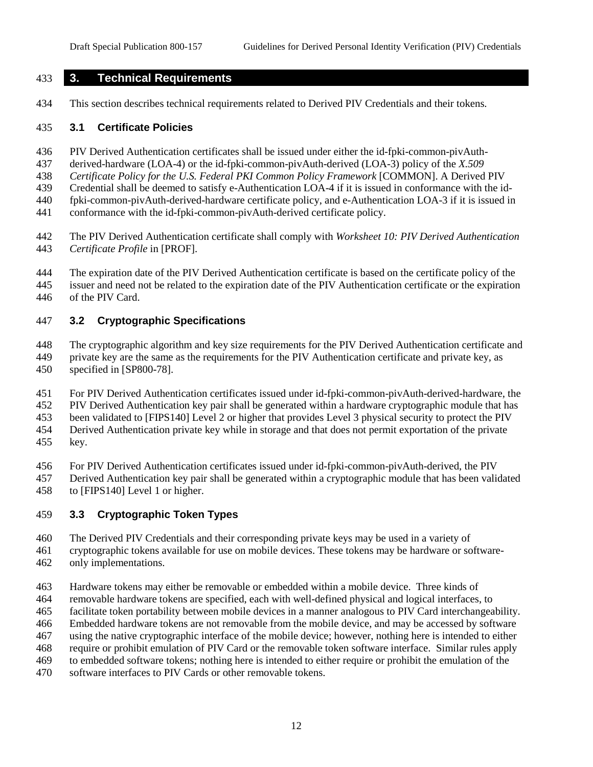#### **3. Technical Requirements**

This section describes technical requirements related to Derived PIV Credentials and their tokens.

#### **3.1 Certificate Policies**

PIV Derived Authentication certificates shall be issued under either the id-fpki-common-pivAuth-

derived-hardware (LOA-4) or the id-fpki-common-pivAuth-derived (LOA-3) policy of the *X.509* 

*Certificate Policy for the U.S. Federal PKI Common Policy Framework* [COMMON]. A Derived PIV

Credential shall be deemed to satisfy e-Authentication LOA-4 if it is issued in conformance with the id-

fpki-common-pivAuth-derived-hardware certificate policy, and e-Authentication LOA-3 if it is issued in

conformance with the id-fpki-common-pivAuth-derived certificate policy.

 The PIV Derived Authentication certificate shall comply with *Worksheet 10: PIV Derived Authentication Certificate Profile* in [PROF].

The expiration date of the PIV Derived Authentication certificate is based on the certificate policy of the

 issuer and need not be related to the expiration date of the PIV Authentication certificate or the expiration of the PIV Card.

### **3.2 Cryptographic Specifications**

 The cryptographic algorithm and key size requirements for the PIV Derived Authentication certificate and private key are the same as the requirements for the PIV Authentication certificate and private key, as specified in [SP800-78].

For PIV Derived Authentication certificates issued under id-fpki-common-pivAuth-derived-hardware, the

PIV Derived Authentication key pair shall be generated within a hardware cryptographic module that has

been validated to [FIPS140] Level 2 or higher that provides Level 3 physical security to protect the PIV

Derived Authentication private key while in storage and that does not permit exportation of the private

key.

For PIV Derived Authentication certificates issued under id-fpki-common-pivAuth-derived, the PIV

Derived Authentication key pair shall be generated within a cryptographic module that has been validated

to [FIPS140] Level 1 or higher.

### **3.3 Cryptographic Token Types**

The Derived PIV Credentials and their corresponding private keys may be used in a variety of

cryptographic tokens available for use on mobile devices. These tokens may be hardware or software-

only implementations.

Hardware tokens may either be removable or embedded within a mobile device. Three kinds of

removable hardware tokens are specified, each with well-defined physical and logical interfaces, to

facilitate token portability between mobile devices in a manner analogous to PIV Card interchangeability.

Embedded hardware tokens are not removable from the mobile device, and may be accessed by software

using the native cryptographic interface of the mobile device; however, nothing here is intended to either

require or prohibit emulation of PIV Card or the removable token software interface. Similar rules apply

to embedded software tokens; nothing here is intended to either require or prohibit the emulation of the

software interfaces to PIV Cards or other removable tokens.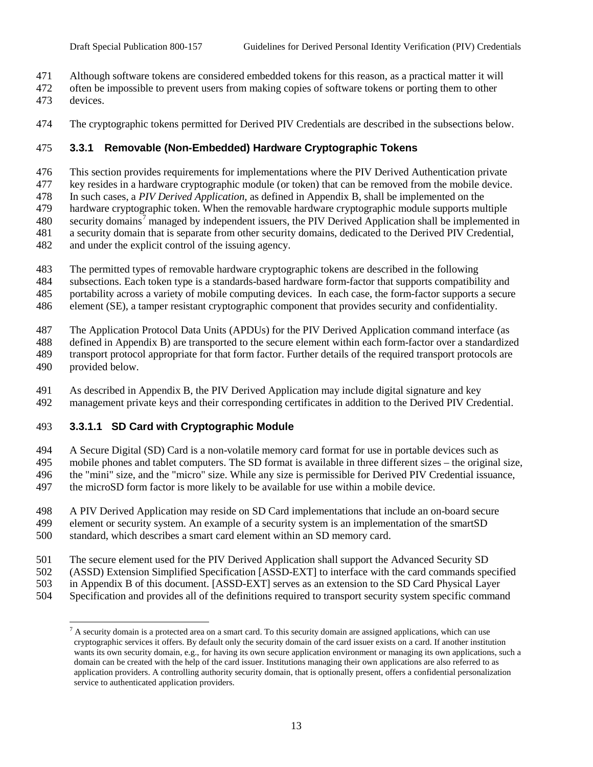- Although software tokens are considered embedded tokens for this reason, as a practical matter it will
- often be impossible to prevent users from making copies of software tokens or porting them to other
- devices.
- The cryptographic tokens permitted for Derived PIV Credentials are described in the subsections below.

## **3.3.1 Removable (Non-Embedded) Hardware Cryptographic Tokens**

This section provides requirements for implementations where the PIV Derived Authentication private

key resides in a hardware cryptographic module (or token) that can be removed from the mobile device.

In such cases, a *PIV Derived Application*, as defined in Appendix B, shall be implemented on the

 hardware cryptographic token. When the removable hardware cryptographic module supports multiple 480 security domains<sup>[7](#page-16-0)</sup> managed by independent issuers, the PIV Derived Application shall be implemented in

a security domain that is separate from other security domains, dedicated to the Derived PIV Credential,

- and under the explicit control of the issuing agency.
- The permitted types of removable hardware cryptographic tokens are described in the following
- subsections. Each token type is a standards-based hardware form-factor that supports compatibility and
- portability across a variety of mobile computing devices. In each case, the form-factor supports a secure
- element (SE), a tamper resistant cryptographic component that provides security and confidentiality.
- The Application Protocol Data Units (APDUs) for the PIV Derived Application command interface (as
- defined in Appendix B) are transported to the secure element within each form-factor over a standardized
- transport protocol appropriate for that form factor. Further details of the required transport protocols are
- provided below.
- As described in Appendix B, the PIV Derived Application may include digital signature and key management private keys and their corresponding certificates in addition to the Derived PIV Credential.

## **3.3.1.1 SD Card with Cryptographic Module**

 A Secure Digital (SD) Card is a non-volatile memory card format for use in portable devices such as mobile phones and tablet computers. The SD format is available in three different sizes – the original size, the "mini" size, and the "micro" size. While any size is permissible for Derived PIV Credential issuance, the microSD form factor is more likely to be available for use within a mobile device.

A PIV Derived Application may reside on SD Card implementations that include an on-board secure

- element or security system. An example of a security system is an implementation of the smartSD
- standard, which describes a smart card element within an SD memory card.
- The secure element used for the PIV Derived Application shall support the Advanced Security SD
- (ASSD) Extension Simplified Specification [ASSD-EXT] to interface with the card commands specified
- in Appendix B of this document. [ASSD-EXT] serves as an extension to the SD Card Physical Layer
- <span id="page-16-0"></span>Specification and provides all of the definitions required to transport security system specific command

 $<sup>7</sup>$  A security domain is a protected area on a smart card. To this security domain are assigned applications, which can use</sup> cryptographic services it offers. By default only the security domain of the card issuer exists on a card. If another institution wants its own security domain, e.g., for having its own secure application environment or managing its own applications, such a domain can be created with the help of the card issuer. Institutions managing their own applications are also referred to as application providers. A controlling authority security domain, that is optionally present, offers a confidential personalization service to authenticated application providers.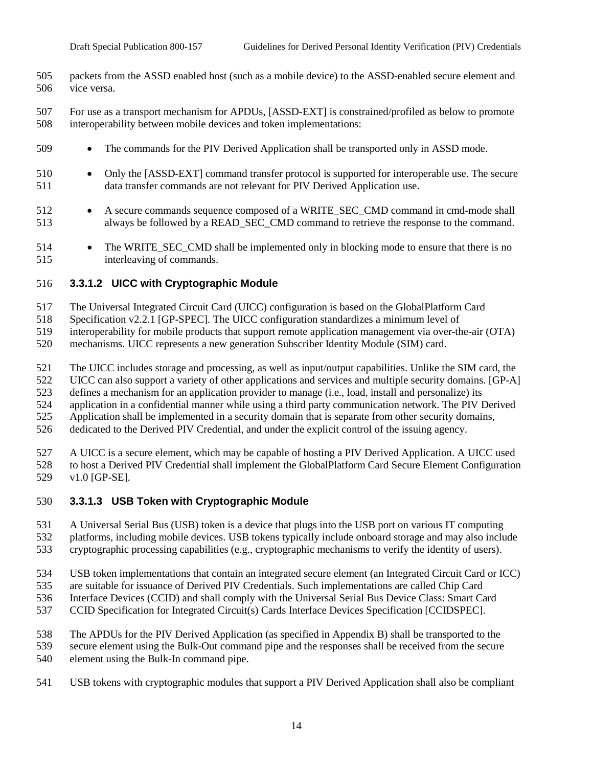- packets from the ASSD enabled host (such as a mobile device) to the ASSD-enabled secure element and vice versa.
- For use as a transport mechanism for APDUs, [ASSD-EXT] is constrained/profiled as below to promote interoperability between mobile devices and token implementations:
- 509 The commands for the PIV Derived Application shall be transported only in ASSD mode.
- Only the [ASSD-EXT] command transfer protocol is supported for interoperable use. The secure data transfer commands are not relevant for PIV Derived Application use.
- 512 A secure commands sequence composed of a WRITE\_SEC\_CMD command in cmd-mode shall always be followed by a READ\_SEC\_CMD command to retrieve the response to the command.
- 514 The WRITE SEC CMD shall be implemented only in blocking mode to ensure that there is no interleaving of commands.

#### **3.3.1.2 UICC with Cryptographic Module**

- The Universal Integrated Circuit Card (UICC) configuration is based on the GlobalPlatform Card
- Specification v2.2.1 [GP-SPEC]. The UICC configuration standardizes a minimum level of
- interoperability for mobile products that support remote application management via over-the-air (OTA)
- mechanisms. UICC represents a new generation Subscriber Identity Module (SIM) card.
- The UICC includes storage and processing, as well as input/output capabilities. Unlike the SIM card, the
- UICC can also support a variety of other applications and services and multiple security domains. [GP-A]
- defines a mechanism for an application provider to manage (i.e., load, install and personalize) its
- application in a confidential manner while using a third party communication network. The PIV Derived
- Application shall be implemented in a security domain that is separate from other security domains,
- dedicated to the Derived PIV Credential, and under the explicit control of the issuing agency.

 A UICC is a secure element, which may be capable of hosting a PIV Derived Application. A UICC used to host a Derived PIV Credential shall implement the GlobalPlatform Card Secure Element Configuration v1.0 [GP-SE].

- **3.3.1.3 USB Token with Cryptographic Module**
- A Universal Serial Bus (USB) token is a device that plugs into the USB port on various IT computing
- platforms, including mobile devices. USB tokens typically include onboard storage and may also include
- cryptographic processing capabilities (e.g., cryptographic mechanisms to verify the identity of users).
- USB token implementations that contain an integrated secure element (an Integrated Circuit Card or ICC)
- are suitable for issuance of Derived PIV Credentials. Such implementations are called Chip Card
- Interface Devices (CCID) and shall comply with the Universal Serial Bus Device Class: Smart Card
- CCID Specification for Integrated Circuit(s) Cards Interface Devices Specification [CCIDSPEC].
- The APDUs for the PIV Derived Application (as specified in Appendix B) shall be transported to the
- secure element using the Bulk-Out command pipe and the responses shall be received from the secure
- element using the Bulk-In command pipe.
- USB tokens with cryptographic modules that support a PIV Derived Application shall also be compliant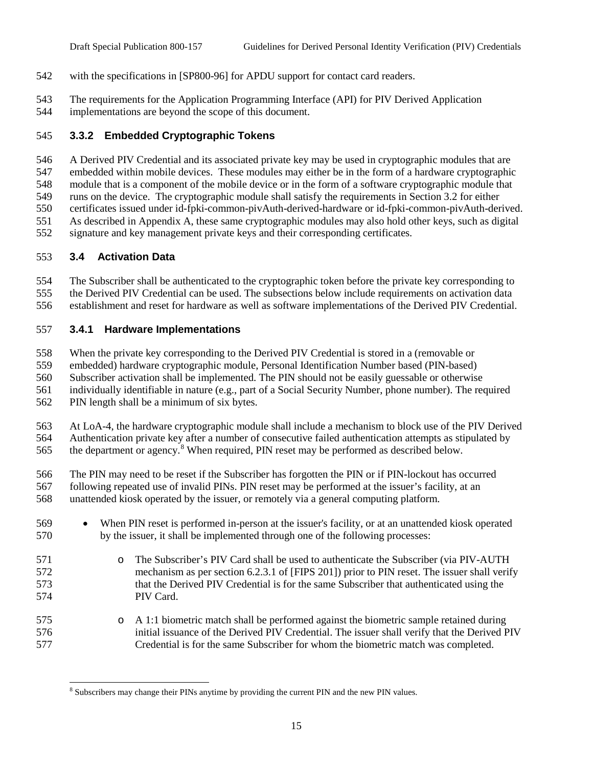- with the specifications in [SP800-96] for APDU support for contact card readers.
- The requirements for the Application Programming Interface (API) for PIV Derived Application
- implementations are beyond the scope of this document.

## **3.3.2 Embedded Cryptographic Tokens**

A Derived PIV Credential and its associated private key may be used in cryptographic modules that are

 embedded within mobile devices. These modules may either be in the form of a hardware cryptographic module that is a component of the mobile device or in the form of a software cryptographic module that

runs on the device. The cryptographic module shall satisfy the requirements in Section 3.2 for either

certificates issued under id-fpki-common-pivAuth-derived-hardware or id-fpki-common-pivAuth-derived.

As described in Appendix A, these same cryptographic modules may also hold other keys, such as digital

signature and key management private keys and their corresponding certificates.

## **3.4 Activation Data**

 The Subscriber shall be authenticated to the cryptographic token before the private key corresponding to the Derived PIV Credential can be used. The subsections below include requirements on activation data

establishment and reset for hardware as well as software implementations of the Derived PIV Credential.

## **3.4.1 Hardware Implementations**

When the private key corresponding to the Derived PIV Credential is stored in a (removable or

embedded) hardware cryptographic module, Personal Identification Number based (PIN-based)

Subscriber activation shall be implemented. The PIN should not be easily guessable or otherwise

individually identifiable in nature (e.g., part of a Social Security Number, phone number). The required

PIN length shall be a minimum of six bytes.

 At LoA-4, the hardware cryptographic module shall include a mechanism to block use of the PIV Derived Authentication private key after a number of consecutive failed authentication attempts as stipulated by 565 the department or agency.<sup>[8](#page-18-0)</sup> When required, PIN reset may be performed as described below.

 The PIN may need to be reset if the Subscriber has forgotten the PIN or if PIN-lockout has occurred following repeated use of invalid PINs. PIN reset may be performed at the issuer's facility, at an unattended kiosk operated by the issuer, or remotely via a general computing platform.

- When PIN reset is performed in-person at the issuer's facility, or at an unattended kiosk operated by the issuer, it shall be implemented through one of the following processes:
- 571 o The Subscriber's PIV Card shall be used to authenticate the Subscriber (via PIV-AUTH<br>572 mechanism as per section 6.2.3.1 of [FIPS 2011] prior to PIN reset. The issuer shall verif mechanism as per section 6.2.3.1 of [FIPS 201]) prior to PIN reset. The issuer shall verify that the Derived PIV Credential is for the same Subscriber that authenticated using the PIV Card.
- 575 **o** A 1:1 biometric match shall be performed against the biometric sample retained during<br>576 initial issuance of the Derived PIV Credential. The issuer shall verify that the Derived P initial issuance of the Derived PIV Credential. The issuer shall verify that the Derived PIV Credential is for the same Subscriber for whom the biometric match was completed.

<span id="page-18-0"></span><sup>&</sup>lt;sup>8</sup> Subscribers may change their PINs anytime by providing the current PIN and the new PIN values.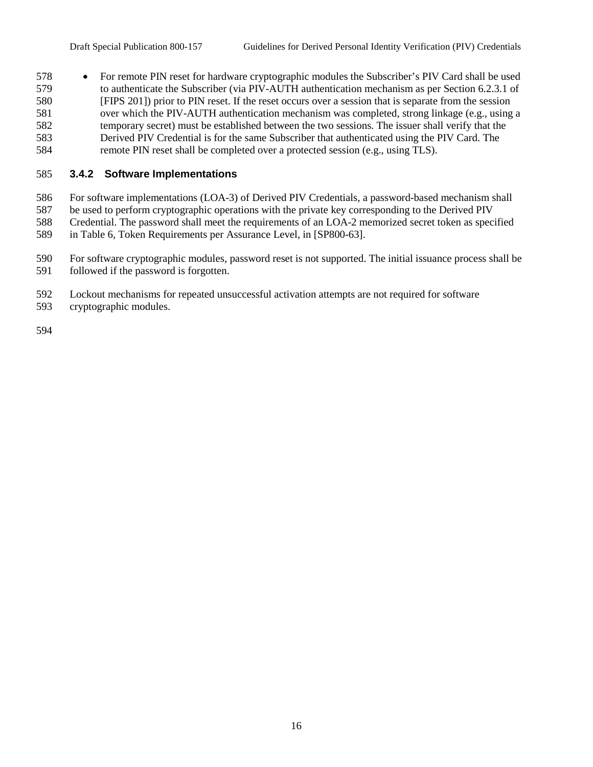• For remote PIN reset for hardware cryptographic modules the Subscriber's PIV Card shall be used to authenticate the Subscriber (via PIV-AUTH authentication mechanism as per Section 6.2.3.1 of [FIPS 201]) prior to PIN reset. If the reset occurs over a session that is separate from the session over which the PIV-AUTH authentication mechanism was completed, strong linkage (e.g., using a temporary secret) must be established between the two sessions. The issuer shall verify that the Derived PIV Credential is for the same Subscriber that authenticated using the PIV Card. The remote PIN reset shall be completed over a protected session (e.g., using TLS).

### **3.4.2 Software Implementations**

For software implementations (LOA-3) of Derived PIV Credentials, a password-based mechanism shall

- be used to perform cryptographic operations with the private key corresponding to the Derived PIV
- Credential. The password shall meet the requirements of an LOA-2 memorized secret token as specified
- in Table 6, Token Requirements per Assurance Level, in [SP800-63].
- For software cryptographic modules, password reset is not supported. The initial issuance process shall be followed if the password is forgotten.
- Lockout mechanisms for repeated unsuccessful activation attempts are not required for software
- cryptographic modules.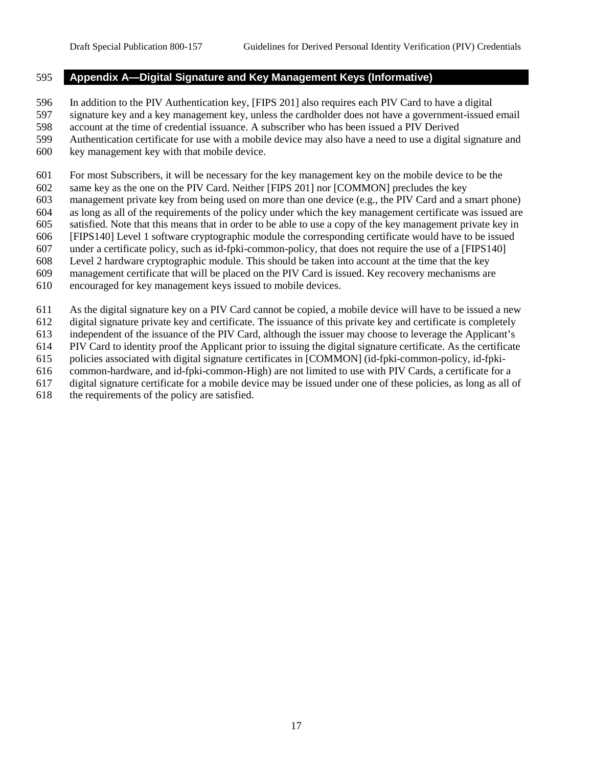#### **Appendix A—Digital Signature and Key Management Keys (Informative)**

In addition to the PIV Authentication key, [FIPS 201] also requires each PIV Card to have a digital

- signature key and a key management key, unless the cardholder does not have a government-issued email
- account at the time of credential issuance. A subscriber who has been issued a PIV Derived
- Authentication certificate for use with a mobile device may also have a need to use a digital signature and
- key management key with that mobile device.

For most Subscribers, it will be necessary for the key management key on the mobile device to be the

- same key as the one on the PIV Card. Neither [FIPS 201] nor [COMMON] precludes the key
- management private key from being used on more than one device (e.g., the PIV Card and a smart phone)
- as long as all of the requirements of the policy under which the key management certificate was issued are satisfied. Note that this means that in order to be able to use a copy of the key management private key in
- [FIPS140] Level 1 software cryptographic module the corresponding certificate would have to be issued
- under a certificate policy, such as id-fpki-common-policy, that does not require the use of a [FIPS140]
- Level 2 hardware cryptographic module. This should be taken into account at the time that the key
- management certificate that will be placed on the PIV Card is issued. Key recovery mechanisms are
- encouraged for key management keys issued to mobile devices.
- As the digital signature key on a PIV Card cannot be copied, a mobile device will have to be issued a new
- digital signature private key and certificate. The issuance of this private key and certificate is completely
- independent of the issuance of the PIV Card, although the issuer may choose to leverage the Applicant's
- PIV Card to identity proof the Applicant prior to issuing the digital signature certificate. As the certificate
- policies associated with digital signature certificates in [COMMON] (id-fpki-common-policy, id-fpki-
- common-hardware, and id-fpki-common-High) are not limited to use with PIV Cards, a certificate for a
- digital signature certificate for a mobile device may be issued under one of these policies, as long as all of
- the requirements of the policy are satisfied.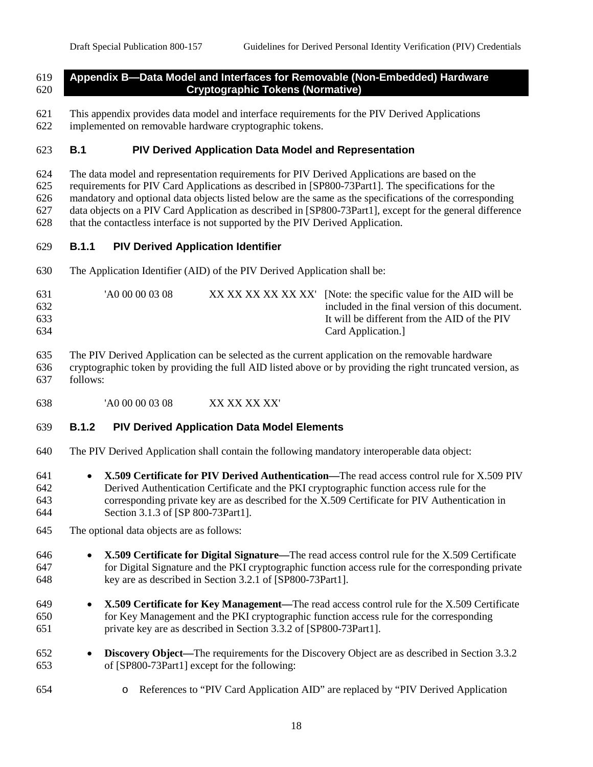### **Appendix B—Data Model and Interfaces for Removable (Non-Embedded) Hardware Cryptographic Tokens (Normative)**

- This appendix provides data model and interface requirements for the PIV Derived Applications
- implemented on removable hardware cryptographic tokens.

## **B.1 PIV Derived Application Data Model and Representation**

- The data model and representation requirements for PIV Derived Applications are based on the
- requirements for PIV Card Applications as described in [SP800-73Part1]. The specifications for the

mandatory and optional data objects listed below are the same as the specifications of the corresponding

data objects on a PIV Card Application as described in [SP800-73Part1], except for the general difference

that the contactless interface is not supported by the PIV Derived Application.

# **B.1.1 PIV Derived Application Identifier**

The Application Identifier (AID) of the PIV Derived Application shall be:

| 631<br>'A0 00 00 03 08<br>632<br>633<br>634 | XX XX XX XX XX XX [Note: the specific value for the AID will be<br>included in the final version of this document.<br>It will be different from the AID of the PIV<br>Card Application. |
|---------------------------------------------|-----------------------------------------------------------------------------------------------------------------------------------------------------------------------------------------|
|---------------------------------------------|-----------------------------------------------------------------------------------------------------------------------------------------------------------------------------------------|

 The PIV Derived Application can be selected as the current application on the removable hardware cryptographic token by providing the full AID listed above or by providing the right truncated version, as follows:

'A0 00 00 03 08 XX XX XX XX'

# **B.1.2 PIV Derived Application Data Model Elements**

The PIV Derived Application shall contain the following mandatory interoperable data object:

- **X.509 Certificate for PIV Derived Authentication—**The read access control rule for X.509 PIV Derived Authentication Certificate and the PKI cryptographic function access rule for the corresponding private key are as described for the X.509 Certificate for PIV Authentication in Section 3.1.3 of [SP 800-73Part1].
- The optional data objects are as follows:
- **X.509 Certificate for Digital Signature—**The read access control rule for the X.509 Certificate for Digital Signature and the PKI cryptographic function access rule for the corresponding private key are as described in Section 3.2.1 of [SP800-73Part1].
- **X.509 Certificate for Key Management—**The read access control rule for the X.509 Certificate for Key Management and the PKI cryptographic function access rule for the corresponding private key are as described in Section 3.3.2 of [SP800-73Part1].
- **Discovery Object—**The requirements for the Discovery Object are as described in Section 3.3.2 of [SP800-73Part1] except for the following:
- o References to "PIV Card Application AID" are replaced by "PIV Derived Application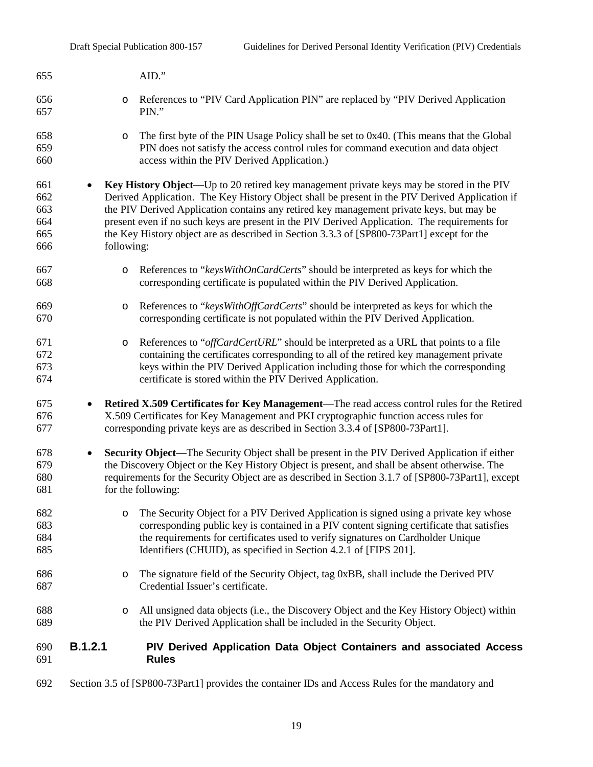| 655                                    | AID."                                                                                                                                                                                                                                                                                                                                                                                                                                                                                               |  |
|----------------------------------------|-----------------------------------------------------------------------------------------------------------------------------------------------------------------------------------------------------------------------------------------------------------------------------------------------------------------------------------------------------------------------------------------------------------------------------------------------------------------------------------------------------|--|
| 656<br>657                             | References to "PIV Card Application PIN" are replaced by "PIV Derived Application<br>$\circ$<br>PIN."                                                                                                                                                                                                                                                                                                                                                                                               |  |
| 658<br>659<br>660                      | The first byte of the PIN Usage Policy shall be set to 0x40. (This means that the Global<br>$\circ$<br>PIN does not satisfy the access control rules for command execution and data object<br>access within the PIV Derived Application.)                                                                                                                                                                                                                                                           |  |
| 661<br>662<br>663<br>664<br>665<br>666 | Key History Object—Up to 20 retired key management private keys may be stored in the PIV<br>Derived Application. The Key History Object shall be present in the PIV Derived Application if<br>the PIV Derived Application contains any retired key management private keys, but may be<br>present even if no such keys are present in the PIV Derived Application. The requirements for<br>the Key History object are as described in Section 3.3.3 of [SP800-73Part1] except for the<br>following: |  |
| 667<br>668                             | References to "keysWithOnCardCerts" should be interpreted as keys for which the<br>$\circ$<br>corresponding certificate is populated within the PIV Derived Application.                                                                                                                                                                                                                                                                                                                            |  |
| 669<br>670                             | References to "keys With Off Card Certs" should be interpreted as keys for which the<br>$\circ$<br>corresponding certificate is not populated within the PIV Derived Application.                                                                                                                                                                                                                                                                                                                   |  |
| 671<br>672<br>673<br>674               | References to "offCardCertURL" should be interpreted as a URL that points to a file<br>$\circ$<br>containing the certificates corresponding to all of the retired key management private<br>keys within the PIV Derived Application including those for which the corresponding<br>certificate is stored within the PIV Derived Application.                                                                                                                                                        |  |
| 675<br>676<br>677                      | Retired X.509 Certificates for Key Management—The read access control rules for the Retired<br>$\bullet$<br>X.509 Certificates for Key Management and PKI cryptographic function access rules for<br>corresponding private keys are as described in Section 3.3.4 of [SP800-73Part1].                                                                                                                                                                                                               |  |
| 678<br>679<br>680<br>681               | <b>Security Object—The Security Object shall be present in the PIV Derived Application if either</b><br>$\bullet$<br>the Discovery Object or the Key History Object is present, and shall be absent otherwise. The<br>requirements for the Security Object are as described in Section 3.1.7 of [SP800-73Part1], except<br>for the following:                                                                                                                                                       |  |
| 682<br>683<br>684<br>685               | The Security Object for a PIV Derived Application is signed using a private key whose<br>$\circ$<br>corresponding public key is contained in a PIV content signing certificate that satisfies<br>the requirements for certificates used to verify signatures on Cardholder Unique<br>Identifiers (CHUID), as specified in Section 4.2.1 of [FIPS 201].                                                                                                                                              |  |
| 686<br>687                             | The signature field of the Security Object, tag 0xBB, shall include the Derived PIV<br>$\circ$<br>Credential Issuer's certificate.                                                                                                                                                                                                                                                                                                                                                                  |  |
| 688<br>689                             | All unsigned data objects (i.e., the Discovery Object and the Key History Object) within<br>$\circ$<br>the PIV Derived Application shall be included in the Security Object.                                                                                                                                                                                                                                                                                                                        |  |
| 690<br>691                             | <b>B.1.2.1</b><br>PIV Derived Application Data Object Containers and associated Access<br><b>Rules</b>                                                                                                                                                                                                                                                                                                                                                                                              |  |
| 692                                    | Section 3.5 of [SP800-73Part1] provides the container IDs and Access Rules for the mandatory and                                                                                                                                                                                                                                                                                                                                                                                                    |  |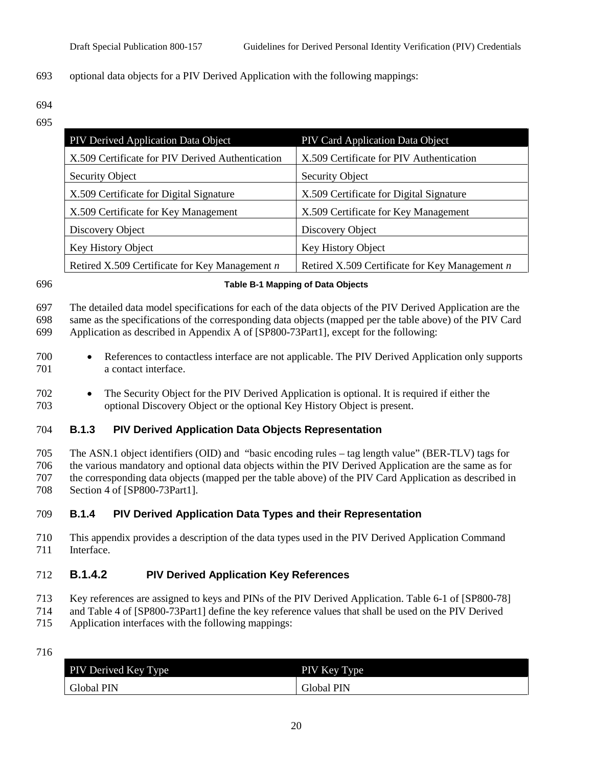#### optional data objects for a PIV Derived Application with the following mappings:

 

| PIV Derived Application Data Object              | PIV Card Application Data Object                 |
|--------------------------------------------------|--------------------------------------------------|
| X.509 Certificate for PIV Derived Authentication | X.509 Certificate for PIV Authentication         |
| Security Object                                  | <b>Security Object</b>                           |
| X.509 Certificate for Digital Signature          | X.509 Certificate for Digital Signature          |
| X.509 Certificate for Key Management             | X.509 Certificate for Key Management             |
| Discovery Object                                 | Discovery Object                                 |
| Key History Object                               | Key History Object                               |
| Retired X.509 Certificate for Key Management $n$ | Retired X.509 Certificate for Key Management $n$ |

#### **Table B-1 Mapping of Data Objects**

 The detailed data model specifications for each of the data objects of the PIV Derived Application are the same as the specifications of the corresponding data objects (mapped per the table above) of the PIV Card

Application as described in Appendix A of [SP800-73Part1], except for the following:

- References to contactless interface are not applicable. The PIV Derived Application only supports a contact interface.
- The Security Object for the PIV Derived Application is optional. It is required if either the optional Discovery Object or the optional Key History Object is present.

#### **B.1.3 PIV Derived Application Data Objects Representation**

 The ASN.1 object identifiers (OID) and "basic encoding rules – tag length value" (BER-TLV) tags for the various mandatory and optional data objects within the PIV Derived Application are the same as for the corresponding data objects (mapped per the table above) of the PIV Card Application as described in Section 4 of [SP800-73Part1].

### **B.1.4 PIV Derived Application Data Types and their Representation**

 This appendix provides a description of the data types used in the PIV Derived Application Command Interface.

## **B.1.4.2 PIV Derived Application Key References**

- Key references are assigned to keys and PINs of the PIV Derived Application. Table 6-1 of [SP800-78]
- and Table 4 of [SP800-73Part1] define the key reference values that shall be used on the PIV Derived
- Application interfaces with the following mappings:
- 

| PIV Derived Key Type | PIV Key Type |
|----------------------|--------------|
| Global PIN           | Global PIN   |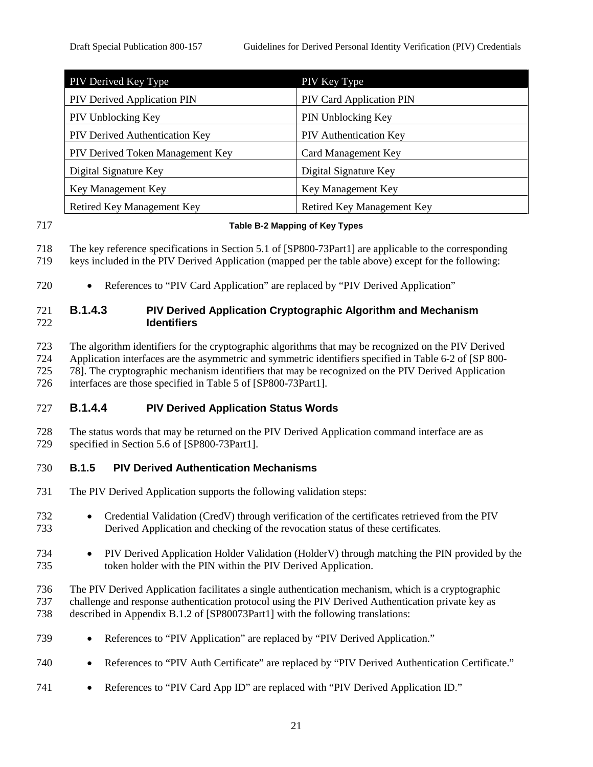| PIV Derived Key Type                  | PIV Key Type                  |
|---------------------------------------|-------------------------------|
| PIV Derived Application PIN           | PIV Card Application PIN      |
| PIV Unblocking Key                    | PIN Unblocking Key            |
| <b>PIV Derived Authentication Key</b> | <b>PIV</b> Authentication Key |
| PIV Derived Token Management Key      | Card Management Key           |
| Digital Signature Key                 | Digital Signature Key         |
| Key Management Key                    | Key Management Key            |
| Retired Key Management Key            | Retired Key Management Key    |

#### **Table B-2 Mapping of Key Types**

The key reference specifications in Section 5.1 of [SP800-73Part1] are applicable to the corresponding

keys included in the PIV Derived Application (mapped per the table above) except for the following:

• References to "PIV Card Application" are replaced by "PIV Derived Application"

## **B.1.4.3 PIV Derived Application Cryptographic Algorithm and Mechanism Identifiers**

 The algorithm identifiers for the cryptographic algorithms that may be recognized on the PIV Derived Application interfaces are the asymmetric and symmetric identifiers specified in Table 6-2 of [SP 800-

725 78]. The cryptographic mechanism identifiers that may be recognized on the PIV Derived Application<br>726 interfaces are those specified in Table 5 of [SP800-73Part1].

interfaces are those specified in Table 5 of [SP800-73Part1].

## **B.1.4.4 PIV Derived Application Status Words**

 The status words that may be returned on the PIV Derived Application command interface are as specified in Section 5.6 of [SP800-73Part1].

### **B.1.5 PIV Derived Authentication Mechanisms**

- The PIV Derived Application supports the following validation steps:
- Credential Validation (CredV) through verification of the certificates retrieved from the PIV Derived Application and checking of the revocation status of these certificates.
- PIV Derived Application Holder Validation (HolderV) through matching the PIN provided by the token holder with the PIN within the PIV Derived Application.
- The PIV Derived Application facilitates a single authentication mechanism, which is a cryptographic challenge and response authentication protocol using the PIV Derived Authentication private key as
- described in Appendix B.1.2 of [SP80073Part1] with the following translations:
- References to "PIV Application" are replaced by "PIV Derived Application."
- 740 References to "PIV Auth Certificate" are replaced by "PIV Derived Authentication Certificate."
- References to "PIV Card App ID" are replaced with "PIV Derived Application ID."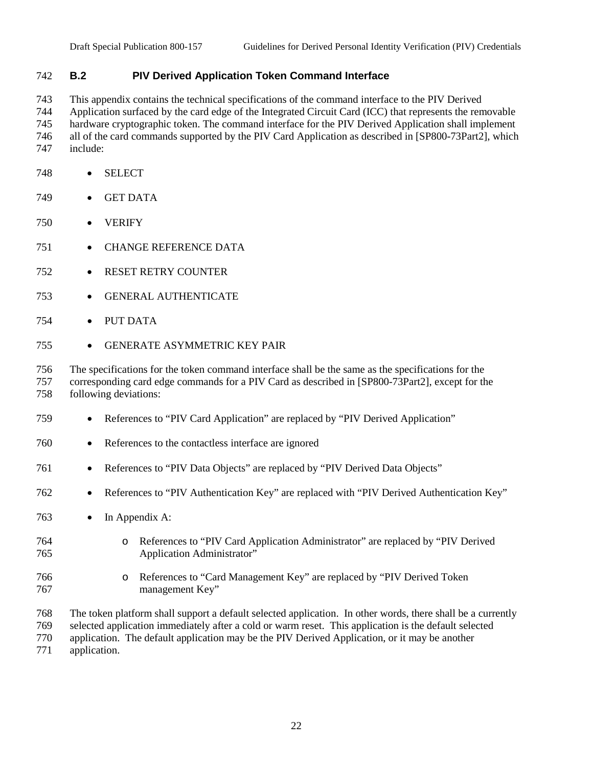## **B.2 PIV Derived Application Token Command Interface**

 This appendix contains the technical specifications of the command interface to the PIV Derived Application surfaced by the card edge of the Integrated Circuit Card (ICC) that represents the removable hardware cryptographic token. The command interface for the PIV Derived Application shall implement all of the card commands supported by the PIV Card Application as described in [SP800-73Part2], which include:

- SELECT
- GET DATA
- VERIFY
- CHANGE REFERENCE DATA
- RESET RETRY COUNTER
- GENERAL AUTHENTICATE
- PUT DATA
- GENERATE ASYMMETRIC KEY PAIR

 The specifications for the token command interface shall be the same as the specifications for the corresponding card edge commands for a PIV Card as described in [SP800-73Part2], except for the following deviations:

- References to "PIV Card Application" are replaced by "PIV Derived Application"
- References to the contactless interface are ignored
- References to "PIV Data Objects" are replaced by "PIV Derived Data Objects"
- References to "PIV Authentication Key" are replaced with "PIV Derived Authentication Key"
- In Appendix A:
- o References to "PIV Card Application Administrator" are replaced by "PIV Derived Application Administrator"
- o References to "Card Management Key" are replaced by "PIV Derived Token management Key"

The token platform shall support a default selected application. In other words, there shall be a currently

selected application immediately after a cold or warm reset. This application is the default selected

application. The default application may be the PIV Derived Application, or it may be another

application.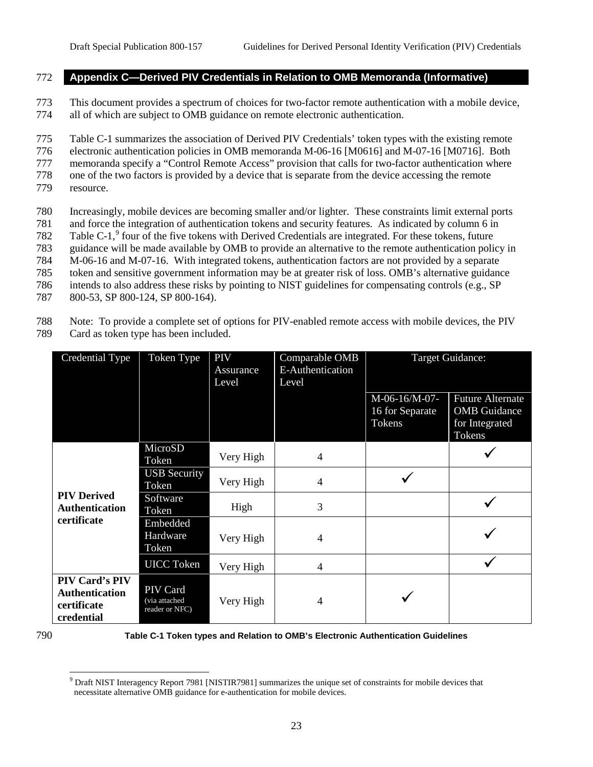#### 772 **Appendix C—Derived PIV Credentials in Relation to OMB Memoranda (Informative)**

773 This document provides a spectrum of choices for two-factor remote authentication with a mobile device, 774 all of which are subject to OMB guidance on remote electronic authentication.

 Table C-1 summarizes the association of Derived PIV Credentials' token types with the existing remote electronic authentication policies in OMB memoranda M-06-16 [M0616] and M-07-16 [M0716]. Both memoranda specify a "Control Remote Access" provision that calls for two-factor authentication where one of the two factors is provided by a device that is separate from the device accessing the remote resource.

- 780 Increasingly, mobile devices are becoming smaller and/or lighter. These constraints limit external ports 781 and force the integration of authentication tokens and security features. As indicated by column 6 in 782 Table C-1, $9$  four of the five tokens with Derived Credentials are integrated. For these tokens, future 783 guidance will be made available by OMB to provide an alternative to the remote authentication policy in 784 M-06-16 and M-07-16. With integrated tokens, authentication factors are not provided by a separate 785 token and sensitive government information may be at greater risk of loss. OMB's alternative guidance 786 intends to also address these risks by pointing to NIST guidelines for compensating controls (e.g., SP
- 787 800-53, SP 800-124, SP 800-164).

788 Note: To provide a complete set of options for PIV-enabled remote access with mobile devices, the PIV 789 Card as token type has been included.

| Credential Type                                                             | Token Type                                 | PIV<br>Assurance<br>Level | Comparable OMB<br><b>E-Authentication</b><br>Level |                                            | <b>Target Guidance:</b>                                                    |
|-----------------------------------------------------------------------------|--------------------------------------------|---------------------------|----------------------------------------------------|--------------------------------------------|----------------------------------------------------------------------------|
|                                                                             |                                            |                           |                                                    | M-06-16/M-07-<br>16 for Separate<br>Tokens | <b>Future Alternate</b><br><b>OMB</b> Guidance<br>for Integrated<br>Tokens |
|                                                                             | MicroSD<br>Token                           | Very High                 | $\overline{4}$                                     |                                            |                                                                            |
|                                                                             | <b>USB Security</b><br>Token               | Very High                 | $\overline{4}$                                     |                                            |                                                                            |
| <b>PIV Derived</b><br><b>Authentication</b>                                 | Software<br>Token                          | High                      | 3                                                  |                                            |                                                                            |
| certificate                                                                 | Embedded<br>Hardware<br>Token              | Very High                 | 4                                                  |                                            |                                                                            |
|                                                                             | <b>UICC</b> Token                          | Very High                 | $\overline{4}$                                     |                                            |                                                                            |
| <b>PIV Card's PIV</b><br><b>Authentication</b><br>certificate<br>credential | PIV Card<br>via attached<br>reader or NFC) | Very High                 | 4                                                  |                                            |                                                                            |

<span id="page-26-0"></span>

790 **Table C-1 Token types and Relation to OMB's Electronic Authentication Guidelines**

<sup>&</sup>lt;sup>9</sup> Draft NIST Interagency Report 7981 [NISTIR7981] summarizes the unique set of constraints for mobile devices that necessitate alternative OMB guidance for e-authentication for mobile devices.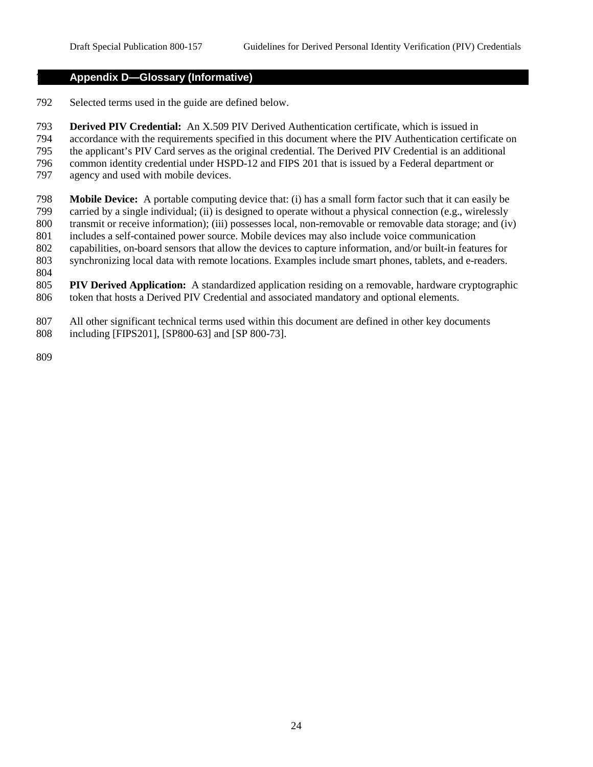#### **Appendix D—Glossary (Informative)**

- Selected terms used in the guide are defined below.
- **Derived PIV Credential:** An X.509 PIV Derived Authentication certificate, which is issued in
- accordance with the requirements specified in this document where the PIV Authentication certificate on
- the applicant's PIV Card serves as the original credential. The Derived PIV Credential is an additional common identity credential under HSPD-12 and FIPS 201 that is issued by a Federal department or
- agency and used with mobile devices.
- 
- **Mobile Device:** A portable computing device that: (i) has a small form factor such that it can easily be carried by a single individual; (ii) is designed to operate without a physical connection (e.g., wirelessly transmit or receive information); (iii) possesses local, non-removable or removable data storage; and (iv)
- includes a self-contained power source. Mobile devices may also include voice communication
- capabilities, on-board sensors that allow the devices to capture information, and/or built-in features for
- synchronizing local data with remote locations. Examples include smart phones, tablets, and e-readers.
- 
- **PIV Derived Application:** A standardized application residing on a removable, hardware cryptographic token that hosts a Derived PIV Credential and associated mandatory and optional elements.
- All other significant technical terms used within this document are defined in other key documents including [FIPS201], [SP800-63] and [SP 800-73].
-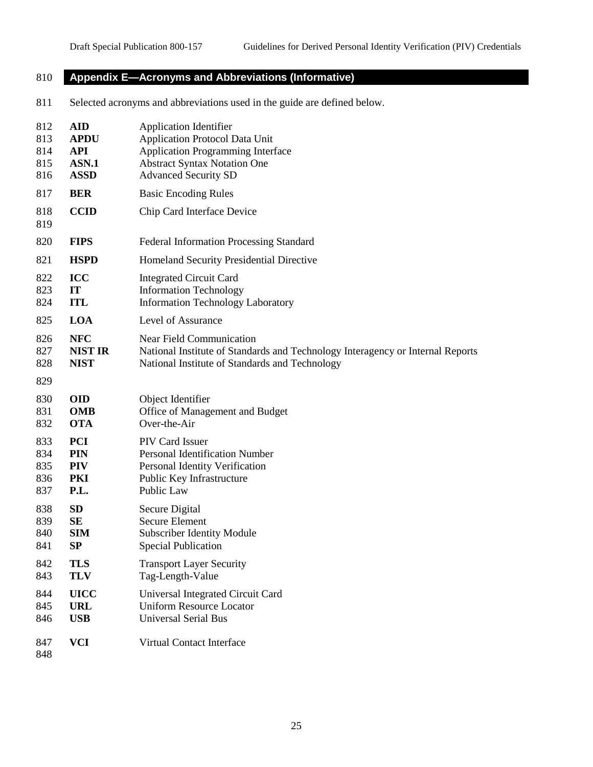# **Appendix E—Acronyms and Abbreviations (Informative)**

Selected acronyms and abbreviations used in the guide are defined below.

| 812        | <b>AID</b>     | <b>Application Identifier</b>                                                  |
|------------|----------------|--------------------------------------------------------------------------------|
| 813        | <b>APDU</b>    | <b>Application Protocol Data Unit</b>                                          |
| 814        | <b>API</b>     | <b>Application Programming Interface</b>                                       |
| 815        | ASN.1          | <b>Abstract Syntax Notation One</b>                                            |
| 816        | <b>ASSD</b>    | <b>Advanced Security SD</b>                                                    |
| 817        | <b>BER</b>     | <b>Basic Encoding Rules</b>                                                    |
| 818<br>819 | <b>CCID</b>    | Chip Card Interface Device                                                     |
| 820        | <b>FIPS</b>    | Federal Information Processing Standard                                        |
| 821        | <b>HSPD</b>    | Homeland Security Presidential Directive                                       |
| 822        | ICC            | <b>Integrated Circuit Card</b>                                                 |
| 823        | IT             | <b>Information Technology</b>                                                  |
| 824        | <b>ITL</b>     | Information Technology Laboratory                                              |
| 825        | LOA            | Level of Assurance                                                             |
| 826        | <b>NFC</b>     | <b>Near Field Communication</b>                                                |
| 827        | <b>NIST IR</b> | National Institute of Standards and Technology Interagency or Internal Reports |
| 828        | <b>NIST</b>    | National Institute of Standards and Technology                                 |
| 829        |                |                                                                                |
| 830        | <b>OID</b>     | Object Identifier                                                              |
| 831        | <b>OMB</b>     | Office of Management and Budget                                                |
| 832        | <b>OTA</b>     | Over-the-Air                                                                   |
| 833        | <b>PCI</b>     | PIV Card Issuer                                                                |
| 834        | <b>PIN</b>     | Personal Identification Number                                                 |
| 835        | <b>PIV</b>     | Personal Identity Verification                                                 |
| 836        | PKI            | Public Key Infrastructure                                                      |
| 837        | P.L.           | Public Law                                                                     |
| 838        | SD             | Secure Digital                                                                 |
| 839        | SE             | Secure Element                                                                 |
| 840        | <b>SIM</b>     | <b>Subscriber Identity Module</b>                                              |
| 841        | SP             | <b>Special Publication</b>                                                     |
| 842        | <b>TLS</b>     | <b>Transport Layer Security</b>                                                |
| 843        | <b>TLV</b>     | Tag-Length-Value                                                               |
| 844        | <b>UICC</b>    | Universal Integrated Circuit Card                                              |
| 845        | <b>URL</b>     | <b>Uniform Resource Locator</b>                                                |
| 846        | <b>USB</b>     | <b>Universal Serial Bus</b>                                                    |
| 847<br>848 | <b>VCI</b>     | Virtual Contact Interface                                                      |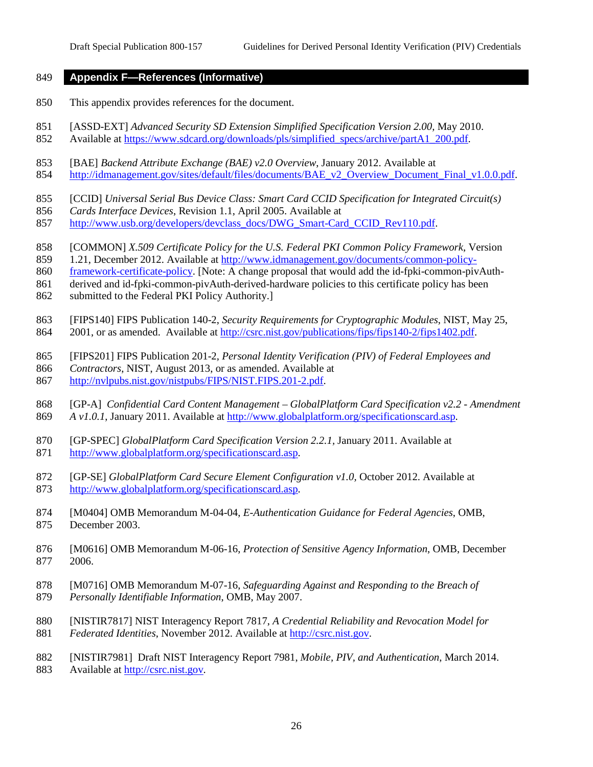#### **Appendix F—References (Informative)**

- This appendix provides references for the document.
- 851 [ASSD-EXT] *Advanced Security SD Extension Simplified Specification Version 2.00, May 2010.*
- 852 Available at [https://www.sdcard.org/downloads/pls/simplified\\_specs/archive/partA1\\_200.pdf.](https://www.sdcard.org/downloads/pls/simplified_specs/archive/partA1_200.pdf)
- [BAE] *Backend Attribute Exchange (BAE) v2.0 Overview*, January 2012. Available at
- [http://idmanagement.gov/sites/default/files/documents/BAE\\_v2\\_Overview\\_Document\\_Final\\_v1.0.0.pdf.](http://idmanagement.gov/sites/default/files/documents/BAE_v2_Overview_Document_Final_v1.0.0.pdf)
- [CCID] *Universal Serial Bus Device Class: Smart Card CCID Specification for Integrated Circuit(s)*
- *Cards Interface Devices*, Revision 1.1, April 2005. Available at
- [http://www.usb.org/developers/devclass\\_docs/DWG\\_Smart-Card\\_CCID\\_Rev110.pdf.](http://www.usb.org/developers/devclass_docs/DWG_Smart-Card_CCID_Rev110.pdf)
- [COMMON] *X.509 Certificate Policy for the U.S. Federal PKI Common Policy Framework*, Version
- 1.21, December 2012. Available at [http://www.idmanagement.gov/documents/common-policy-](http://www.idmanagement.gov/documents/common-policy-framework-certificate-policy)
- [framework-certificate-policy.](http://www.idmanagement.gov/documents/common-policy-framework-certificate-policy) [Note: A change proposal that would add the id-fpki-common-pivAuth-
- derived and id-fpki-common-pivAuth-derived-hardware policies to this certificate policy has been
- submitted to the Federal PKI Policy Authority.]
- [FIPS140] FIPS Publication 140-2, *Security Requirements for Cryptographic Modules*, NIST, May 25, 2001, or as amended. Available at [http://csrc.nist.gov/publications/fips/fips140-2/fips1402.pdf.](http://csrc.nist.gov/publications/fips/fips140-2/fips1402.pdf)
- [FIPS201] FIPS Publication 201-2, *Personal Identity Verification (PIV) of Federal Employees and*
- *Contractors*, NIST, August 2013, or as amended. Available at
- [http://nvlpubs.nist.gov/nistpubs/FIPS/NIST.FIPS.201-2.pdf.](http://nvlpubs.nist.gov/nistpubs/FIPS/NIST.FIPS.201-2.pdf)
- [GP-A] *Confidential Card Content Management – GlobalPlatform Card Specification v2.2 - Amendment A v1.0.1*, January 2011. Available at [http://www.globalplatform.org/specificationscard.asp.](http://www.globalplatform.org/specificationscard.asp)
- [GP-SPEC] *GlobalPlatform Card Specification Version 2.2.1,* January 2011. Available at [http://www.globalplatform.org/specificationscard.asp.](http://www.globalplatform.org/specificationscard.asp)
- [GP-SE] *GlobalPlatform Card Secure Element Configuration v1.0,* October 2012. Available at [http://www.globalplatform.org/specificationscard.asp.](http://www.globalplatform.org/specificationscard.asp)
- [M0404] OMB Memorandum M-04-04, *E-Authentication Guidance for Federal Agencies*, OMB, December 2003.
- [M0616] OMB Memorandum M-06-16, *Protection of Sensitive Agency Information*, OMB, December 2006.
- [M0716] OMB Memorandum M-07-16, *Safeguarding Against and Responding to the Breach of Personally Identifiable Information*, OMB, May 2007.
- [NISTIR7817] NIST Interagency Report 7817, *A Credential Reliability and Revocation Model for*
- *Federated Identities*, November 2012. Available at [http://csrc.nist.gov.](http://csrc.nist.gov/)
- [NISTIR7981] Draft NIST Interagency Report 7981, *Mobile, PIV, and Authentication*, March 2014. Available at [http://csrc.nist.gov.](http://csrc.nist.gov/)